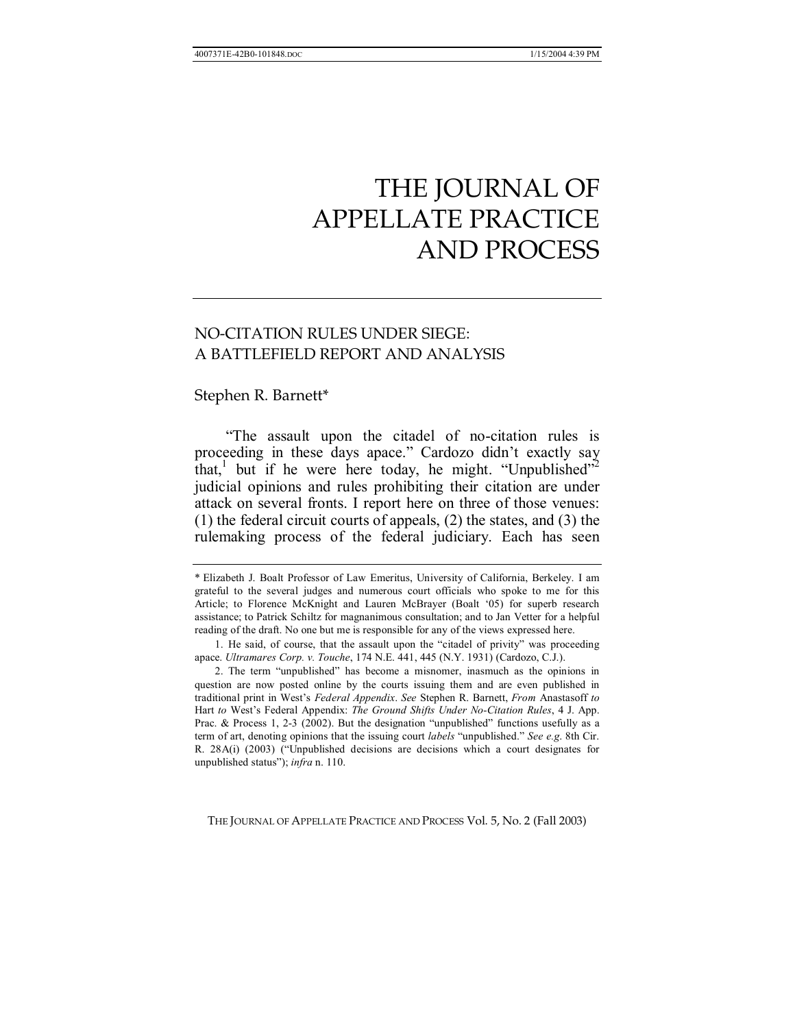# NO-CITATION RULES UNDER SIEGE: A BATTLEFIELD REPORT AND ANALYSIS

## Stephen R. Barnett\*

The assault upon the citadel of no-citation rules is proceeding in these days apace." Cardozo didn't exactly say that,<sup>1</sup> but if he were here today, he might. "Unpublished"<sup>2</sup> judicial opinions and rules prohibiting their citation are under attack on several fronts. I report here on three of those venues: (1) the federal circuit courts of appeals, (2) the states, and (3) the rulemaking process of the federal judiciary. Each has seen

THE JOURNAL OF APPELLATE PRACTICE AND PROCESS Vol. 5, No. 2 (Fall 2003)

<sup>\*</sup> Elizabeth J. Boalt Professor of Law Emeritus, University of California, Berkeley. I am grateful to the several judges and numerous court officials who spoke to me for this Article; to Florence McKnight and Lauren McBrayer (Boalt '05) for superb research assistance; to Patrick Schiltz for magnanimous consultation; and to Jan Vetter for a helpful reading of the draft. No one but me is responsible for any of the views expressed here.

<sup>1.</sup> He said, of course, that the assault upon the "citadel of privity" was proceeding apace. *Ultramares Corp. v. Touche*, 174 N.E. 441, 445 (N.Y. 1931) (Cardozo, C.J.).

<sup>2.</sup> The term "unpublished" has become a misnomer, inasmuch as the opinions in question are now posted online by the courts issuing them and are even published in traditional print in Westís *Federal Appendix*. *See* Stephen R. Barnett, *From* Anastasoff *to* Hart *to* Westís Federal Appendix: *The Ground Shifts Under No-Citation Rules*, 4 J. App. Prac. & Process 1, 2-3 (2002). But the designation "unpublished" functions usefully as a term of art, denoting opinions that the issuing court *labels* "unpublished." See e.g. 8th Cir. R.  $28A(i)$  (2003) ("Unpublished decisions are decisions which a court designates for unpublished status"); *infra* n. 110.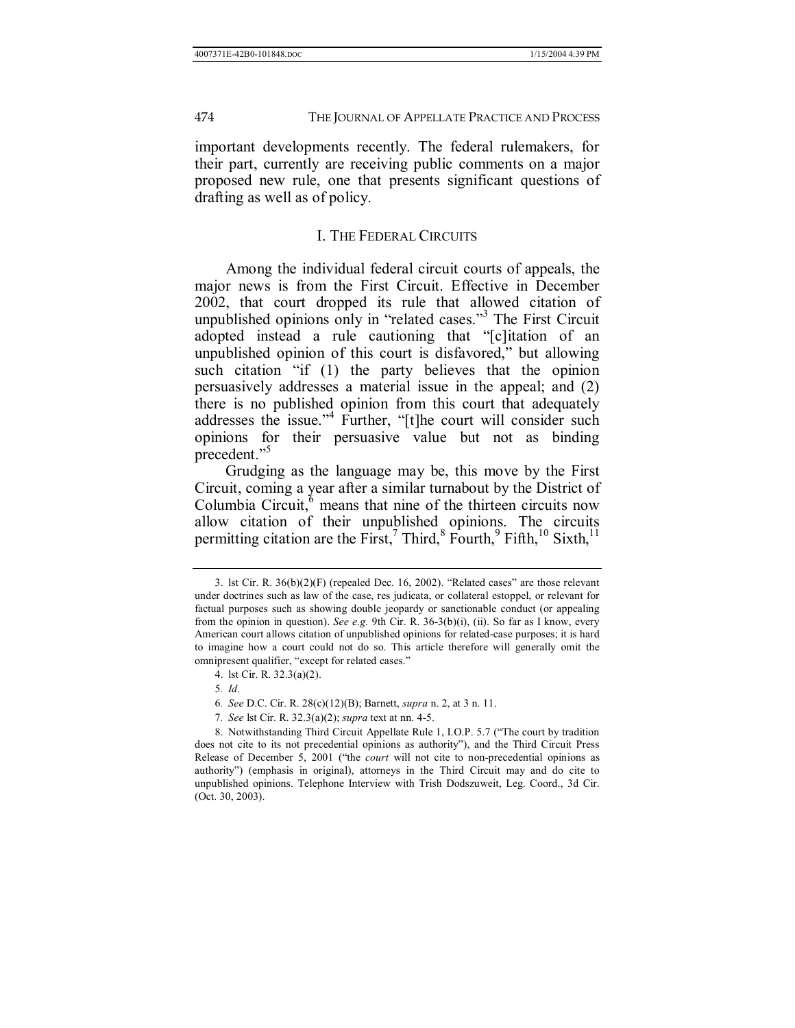important developments recently. The federal rulemakers, for their part, currently are receiving public comments on a major proposed new rule, one that presents significant questions of drafting as well as of policy.

#### I. THE FEDERAL CIRCUITS

Among the individual federal circuit courts of appeals, the major news is from the First Circuit. Effective in December 2002, that court dropped its rule that allowed citation of unpublished opinions only in "related cases."<sup>3</sup> The First Circuit adopted instead a rule cautioning that "[c]itation of an unpublished opinion of this court is disfavored," but allowing such citation  $\lq\lq$  if (1) the party believes that the opinion persuasively addresses a material issue in the appeal; and (2) there is no published opinion from this court that adequately addresses the issue."<sup>4</sup> Further, "[t]he court will consider such opinions for their persuasive value but not as binding precedent."

Grudging as the language may be, this move by the First Circuit, coming a year after a similar turnabout by the District of Columbia Circuit, $\overset{6}{\circ}$  means that nine of the thirteen circuits now allow citation of their unpublished opinions. The circuits permitting citation are the First,<sup>7</sup> Third,<sup>8</sup> Fourth,<sup>9</sup> Fifth,<sup>10</sup> Sixth,<sup>11</sup>

7*. See* lst Cir. R. 32.3(a)(2); *supra* text at nn. 4-5.

<sup>3.</sup> lst Cir. R.  $36(b)(2)(F)$  (repealed Dec. 16, 2002). "Related cases" are those relevant under doctrines such as law of the case, res judicata, or collateral estoppel, or relevant for factual purposes such as showing double jeopardy or sanctionable conduct (or appealing from the opinion in question). *See e.g.* 9th Cir. R. 36-3(b)(i), (ii). So far as I know, every American court allows citation of unpublished opinions for related-case purposes; it is hard to imagine how a court could not do so. This article therefore will generally omit the omnipresent qualifier, "except for related cases."

 <sup>4.</sup> lst Cir. R. 32.3(a)(2).

<sup>5</sup>*. Id.*

<sup>6</sup>*. See* D.C. Cir. R. 28(c)(12)(B); Barnett, *supra* n. 2, at 3 n. 11.

<sup>8.</sup> Notwithstanding Third Circuit Appellate Rule 1, I.O.P. 5.7 ("The court by tradition does not cite to its not precedential opinions as authority"), and the Third Circuit Press Release of December 5, 2001 ("the *court* will not cite to non-precedential opinions as authorityî) (emphasis in original), attorneys in the Third Circuit may and do cite to unpublished opinions. Telephone Interview with Trish Dodszuweit, Leg. Coord., 3d Cir. (Oct. 30, 2003).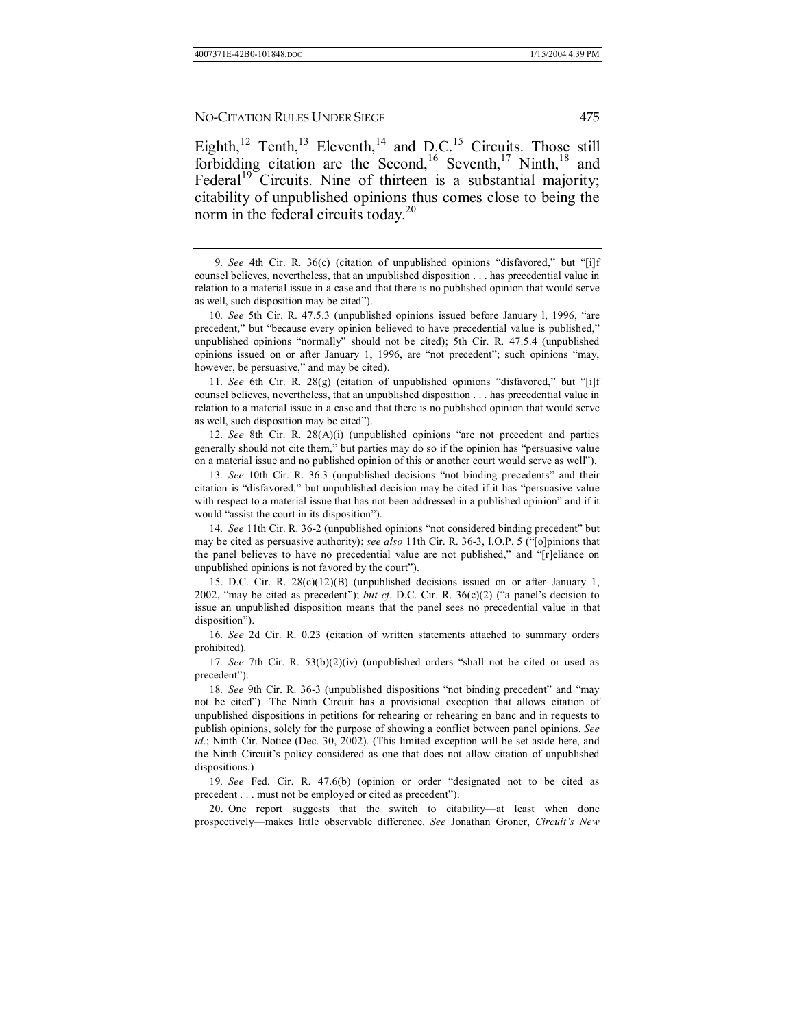Eighth,<sup>12</sup> Tenth,<sup>13</sup> Eleventh,<sup>14</sup> and D.C.<sup>15</sup> Circuits. Those still forbidding citation are the Second,<sup>16</sup> Seventh,<sup>17</sup> Ninth,<sup>18</sup> and Federal<sup>19</sup> Circuits. Nine of thirteen is a substantial majority; citability of unpublished opinions thus comes close to being the norm in the federal circuits today.<sup>20</sup>

10*. See* 5th Cir. R. 47.5.3 (unpublished opinions issued before January 1, 1996, "are precedent," but "because every opinion believed to have precedential value is published," unpublished opinions "normally" should not be cited); 5th Cir. R. 47.5.4 (unpublished opinions issued on or after January 1, 1996, are "not precedent"; such opinions "may, however, be persuasive," and may be cited).

11. See 6th Cir. R. 28(g) (citation of unpublished opinions "disfavored," but "[i]f counsel believes, nevertheless, that an unpublished disposition . . . has precedential value in relation to a material issue in a case and that there is no published opinion that would serve as well, such disposition may be cited").

12*. See* 8th Cir. R. 28(A)(i) (unpublished opinions "are not precedent and parties generally should not cite them," but parties may do so if the opinion has "persuasive value on a material issue and no published opinion of this or another court would serve as wellî).

13. See 10th Cir. R. 36.3 (unpublished decisions "not binding precedents" and their citation is "disfavored," but unpublished decision may be cited if it has "persuasive value with respect to a material issue that has not been addressed in a published opinion" and if it would "assist the court in its disposition").

14. See 11th Cir. R. 36-2 (unpublished opinions "not considered binding precedent" but may be cited as persuasive authority); *see also* 11th Cir. R. 36-3, I.O.P. 5 ("[o]pinions that the panel believes to have no precedential value are not published," and "[r]eliance on unpublished opinions is not favored by the court").

 15. D.C. Cir. R. 28(c)(12)(B) (unpublished decisions issued on or after January 1, 2002, "may be cited as precedent"); *but cf.* D.C. Cir. R.  $36(c)(2)$  ("a panel's decision to issue an unpublished disposition means that the panel sees no precedential value in that disposition").

16*. See* 2d Cir. R. 0.23 (citation of written statements attached to summary orders prohibited).

17*. See* 7th Cir. R. 53(b)(2)(iv) (unpublished orders "shall not be cited or used as precedent").

18*. See* 9th Cir. R. 36-3 (unpublished dispositions "not binding precedent" and "may not be citedî). The Ninth Circuit has a provisional exception that allows citation of unpublished dispositions in petitions for rehearing or rehearing en banc and in requests to publish opinions, solely for the purpose of showing a conflict between panel opinions. *See*  id.; Ninth Cir. Notice (Dec. 30, 2002). (This limited exception will be set aside here, and the Ninth Circuit's policy considered as one that does not allow citation of unpublished dispositions.)

19. See Fed. Cir. R. 47.6(b) (opinion or order "designated not to be cited as precedent . . . must not be employed or cited as precedent").

20. One report suggests that the switch to citability—at least when done prospectively—makes little observable difference. *See* Jonathan Groner, *Circuit's New* 

<sup>9.</sup> See 4th Cir. R. 36(c) (citation of unpublished opinions "disfavored," but "[i]f counsel believes, nevertheless, that an unpublished disposition . . . has precedential value in relation to a material issue in a case and that there is no published opinion that would serve as well, such disposition may be cited").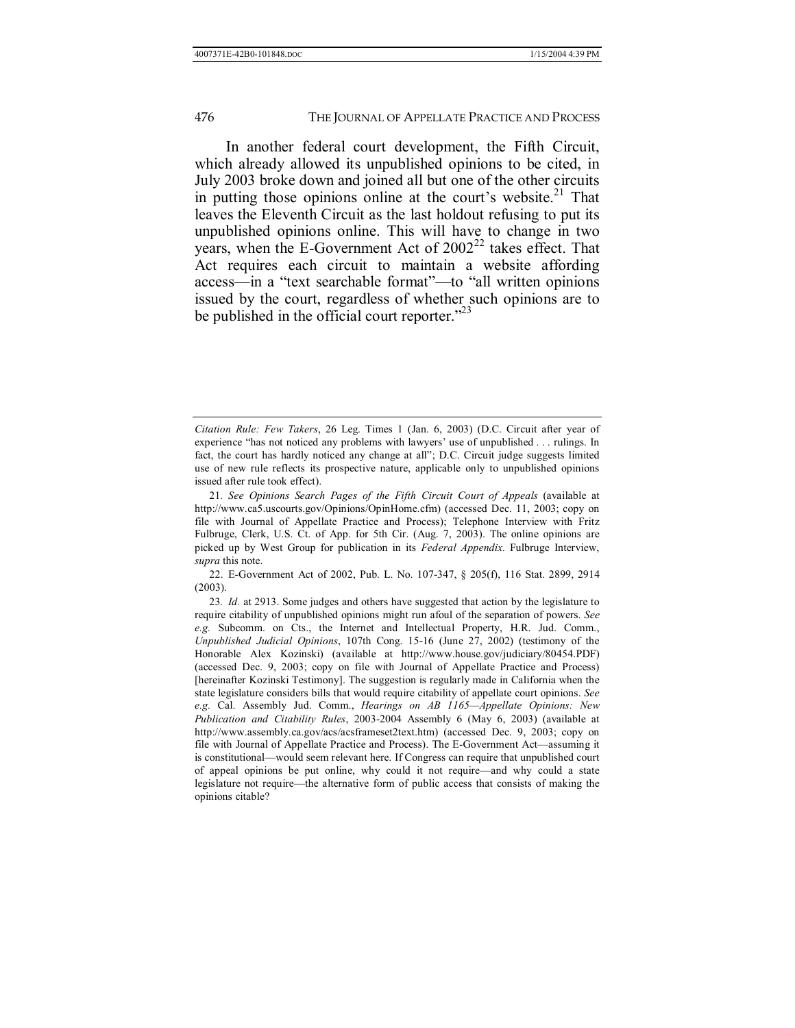In another federal court development, the Fifth Circuit, which already allowed its unpublished opinions to be cited, in July 2003 broke down and joined all but one of the other circuits in putting those opinions online at the court's website.<sup>21</sup> That leaves the Eleventh Circuit as the last holdout refusing to put its unpublished opinions online. This will have to change in two years, when the E-Government Act of  $2002^{22}$  takes effect. That Act requires each circuit to maintain a website affording access—in a "text searchable format"—to "all written opinions issued by the court, regardless of whether such opinions are to be published in the official court reporter. $123$ 

 22. E-Government Act of 2002, Pub. L. No. 107-347, ß 205(f), 116 Stat. 2899, 2914 (2003).

23*. Id.* at 2913. Some judges and others have suggested that action by the legislature to require citability of unpublished opinions might run afoul of the separation of powers. *See e.g.* Subcomm. on Cts., the Internet and Intellectual Property, H.R. Jud. Comm., *Unpublished Judicial Opinions*, 107th Cong. 15-16 (June 27, 2002) (testimony of the Honorable Alex Kozinski) (available at http://www.house.gov/judiciary/80454.PDF) (accessed Dec. 9, 2003; copy on file with Journal of Appellate Practice and Process) [hereinafter Kozinski Testimony]. The suggestion is regularly made in California when the state legislature considers bills that would require citability of appellate court opinions. *See e.g.* Cal. Assembly Jud. Comm., *Hearings on AB 1165—Appellate Opinions: New Publication and Citability Rules*, 2003-2004 Assembly 6 (May 6, 2003) (available at http://www.assembly.ca.gov/acs/acsframeset2text.htm) (accessed Dec. 9, 2003; copy on file with Journal of Appellate Practice and Process). The E-Government Act—assuming it is constitutional—would seem relevant here. If Congress can require that unpublished court of appeal opinions be put online, why could it not require—and why could a state legislature not require—the alternative form of public access that consists of making the opinions citable?

*Citation Rule: Few Takers*, 26 Leg. Times 1 (Jan. 6, 2003) (D.C. Circuit after year of experience "has not noticed any problems with lawyers' use of unpublished . . . rulings. In fact, the court has hardly noticed any change at all"; D.C. Circuit judge suggests limited use of new rule reflects its prospective nature, applicable only to unpublished opinions issued after rule took effect).

<sup>21</sup>*. See Opinions Search Pages of the Fifth Circuit Court of Appeals* (available at http://www.ca5.uscourts.gov/Opinions/OpinHome.cfm) (accessed Dec. 11, 2003; copy on file with Journal of Appellate Practice and Process); Telephone Interview with Fritz Fulbruge, Clerk, U.S. Ct. of App. for 5th Cir. (Aug. 7, 2003). The online opinions are picked up by West Group for publication in its *Federal Appendix.* Fulbruge Interview, *supra* this note.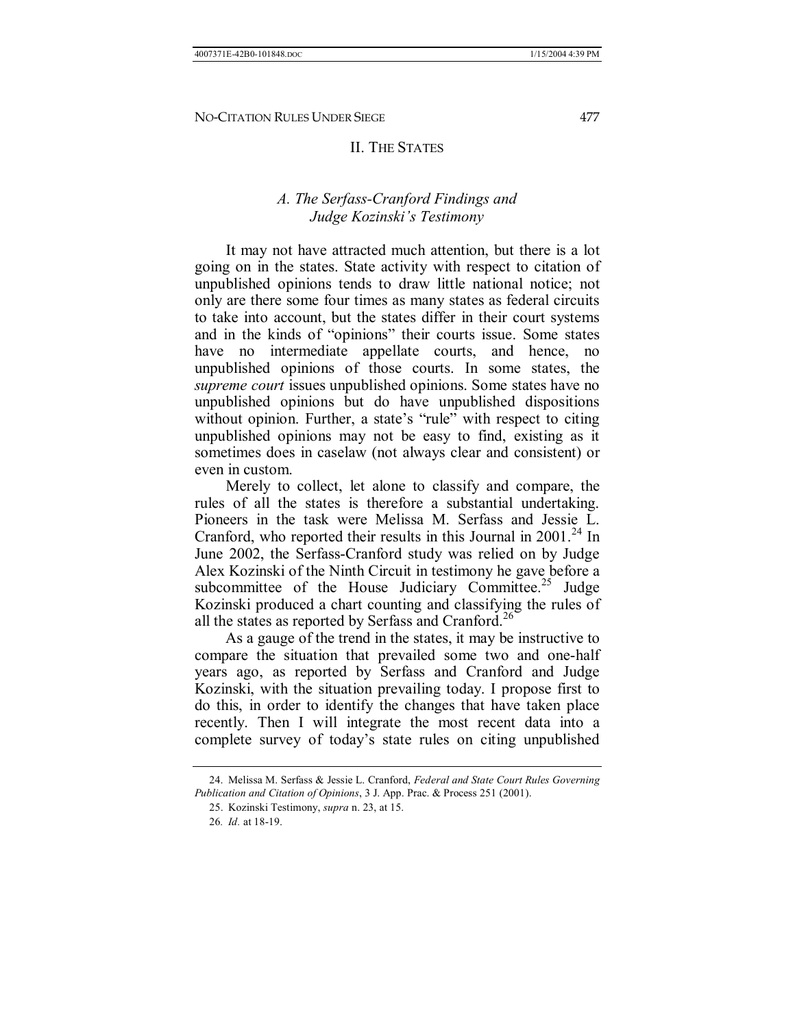## II. THE STATES

## *A. The Serfass-Cranford Findings and Judge Kozinski's Testimony*

It may not have attracted much attention, but there is a lot going on in the states. State activity with respect to citation of unpublished opinions tends to draw little national notice; not only are there some four times as many states as federal circuits to take into account, but the states differ in their court systems and in the kinds of "opinions" their courts issue. Some states have no intermediate appellate courts, and hence, no unpublished opinions of those courts. In some states, the *supreme court* issues unpublished opinions. Some states have no unpublished opinions but do have unpublished dispositions without opinion. Further, a state's "rule" with respect to citing unpublished opinions may not be easy to find, existing as it sometimes does in caselaw (not always clear and consistent) or even in custom.

Merely to collect, let alone to classify and compare, the rules of all the states is therefore a substantial undertaking. Pioneers in the task were Melissa M. Serfass and Jessie L. Cranford, who reported their results in this Journal in  $2001<sup>24</sup>$  In June 2002, the Serfass-Cranford study was relied on by Judge Alex Kozinski of the Ninth Circuit in testimony he gave before a subcommittee of the House Judiciary Committee.<sup>25</sup> Judge Kozinski produced a chart counting and classifying the rules of all the states as reported by Serfass and Cranford.<sup>26</sup>

As a gauge of the trend in the states, it may be instructive to compare the situation that prevailed some two and one-half years ago, as reported by Serfass and Cranford and Judge Kozinski, with the situation prevailing today. I propose first to do this, in order to identify the changes that have taken place recently. Then I will integrate the most recent data into a complete survey of today's state rules on citing unpublished

 <sup>24.</sup> Melissa M. Serfass & Jessie L. Cranford, *Federal and State Court Rules Governing Publication and Citation of Opinions*, 3 J. App. Prac. & Process 251 (2001).

 <sup>25.</sup> Kozinski Testimony, *supra* n. 23, at 15.

<sup>26</sup>*. Id.* at 18-19.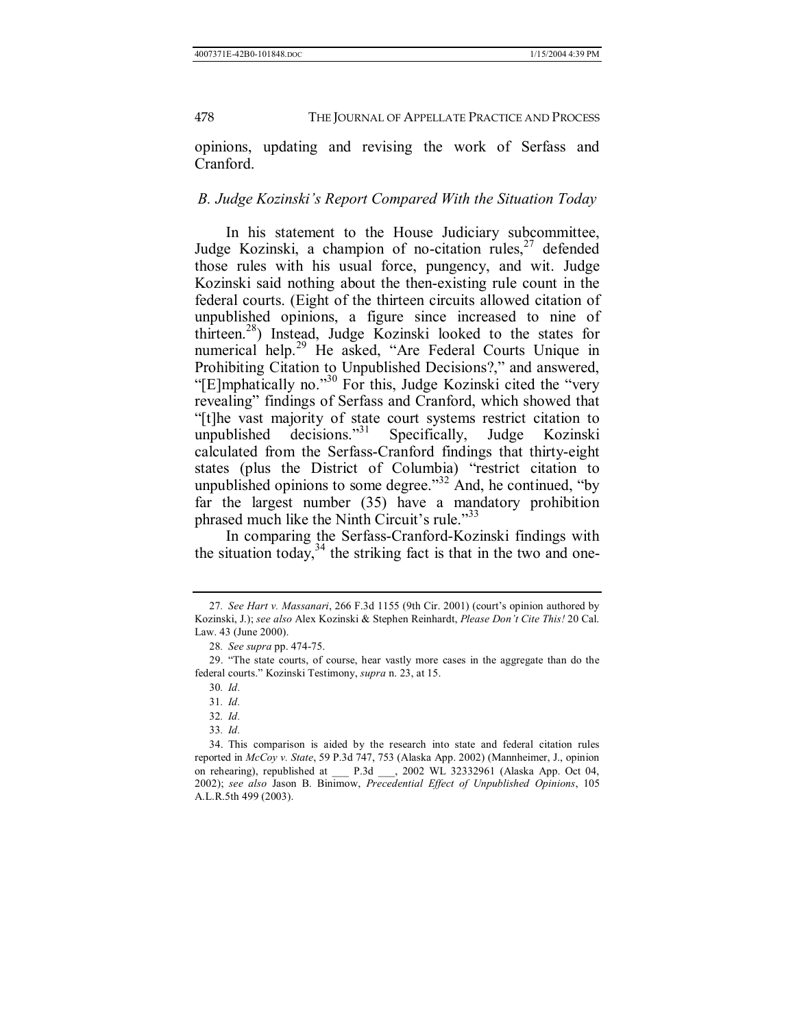opinions, updating and revising the work of Serfass and Cranford.

## *B. Judge Kozinskiís Report Compared With the Situation Today*

In his statement to the House Judiciary subcommittee, Judge Kozinski, a champion of no-citation rules,  $27$  defended those rules with his usual force, pungency, and wit. Judge Kozinski said nothing about the then-existing rule count in the federal courts. (Eight of the thirteen circuits allowed citation of unpublished opinions, a figure since increased to nine of thirteen.28) Instead, Judge Kozinski looked to the states for numerical help.<sup>29</sup> He asked, "Are Federal Courts Unique in Prohibiting Citation to Unpublished Decisions?," and answered, "[E]mphatically no."<sup>30</sup> For this, Judge Kozinski cited the "very" revealing" findings of Serfass and Cranford, which showed that ì[t]he vast majority of state court systems restrict citation to unpublished decisions."<sup>31</sup> Specifically, Judge Kozinski calculated from the Serfass-Cranford findings that thirty-eight states (plus the District of Columbia) "restrict citation to unpublished opinions to some degree.<sup>32</sup> And, he continued, "by far the largest number (35) have a mandatory prohibition phrased much like the Ninth Circuit's rule.<sup>333</sup>

In comparing the Serfass-Cranford-Kozinski findings with the situation today, $34$  the striking fact is that in the two and one-

33*. Id.*

<sup>27.</sup> See Hart v. Massanari, 266 F.3d 1155 (9th Cir. 2001) (court's opinion authored by Kozinski, J.); *see also* Alex Kozinski & Stephen Reinhardt, *Please Donít Cite This!* 20 Cal. Law. 43 (June 2000).

<sup>28</sup>*. See supra* pp. 474-75.

<sup>29. &</sup>quot;The state courts, of course, hear vastly more cases in the aggregate than do the federal courts.î Kozinski Testimony, *supra* n. 23, at 15.

<sup>30</sup>*. Id.*

<sup>31</sup>*. Id.*

<sup>32</sup>*. Id.*

 <sup>34.</sup> This comparison is aided by the research into state and federal citation rules reported in *McCoy v. State*, 59 P.3d 747, 753 (Alaska App. 2002) (Mannheimer, J., opinion on rehearing), republished at \_\_\_ P.3d \_\_\_, 2002 WL 32332961 (Alaska App. Oct 04, 2002); *see also* Jason B. Binimow, *Precedential Effect of Unpublished Opinions*, 105 A.L.R.5th 499 (2003).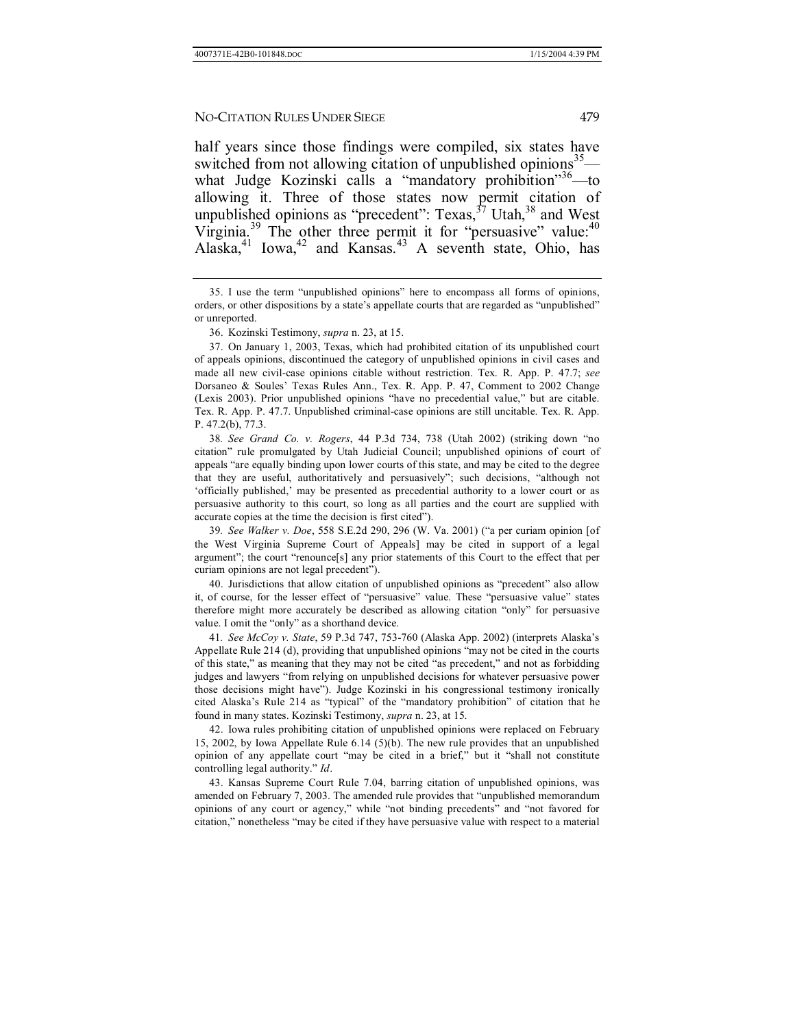half years since those findings were compiled, six states have switched from not allowing citation of unpublished opinions<sup>35</sup> what Judge Kozinski calls a "mandatory prohibition" $36$ -to allowing it. Three of those states now permit citation of unpublished opinions as "precedent": Texas, $37$  Utah, $38$  and West Virginia.<sup>39</sup> The other three permit it for "persuasive" value:<sup>40</sup> Alaska, $41$  Iowa, $42$  and Kansas. $43$  A seventh state, Ohio, has

38*. See Grand Co. v. Rogers*, 44 P.3d 734, 738 (Utah 2002) (striking down ìno citationî rule promulgated by Utah Judicial Council; unpublished opinions of court of appeals "are equally binding upon lower courts of this state, and may be cited to the degree that they are useful, authoritatively and persuasively"; such decisions, "although not 'officially published,' may be presented as precedential authority to a lower court or as persuasive authority to this court, so long as all parties and the court are supplied with accurate copies at the time the decision is first cited").

39*. See Walker v. Doe*, 558 S.E.2d 290, 296 (W. Va. 2001) (ìa per curiam opinion [of the West Virginia Supreme Court of Appeals] may be cited in support of a legal argument"; the court "renounce[s] any prior statements of this Court to the effect that per curiam opinions are not legal precedent").

40. Jurisdictions that allow citation of unpublished opinions as "precedent" also allow it, of course, for the lesser effect of "persuasive" value. These "persuasive value" states therefore might more accurately be described as allowing citation "only" for persuasive value. I omit the "only" as a shorthand device.

41*. See McCoy v. State*, 59 P.3d 747, 753-760 (Alaska App. 2002) (interprets Alaskaís Appellate Rule 214 (d), providing that unpublished opinions "may not be cited in the courts of this state," as meaning that they may not be cited "as precedent," and not as forbidding judges and lawyers "from relying on unpublished decisions for whatever persuasive power those decisions might haveî). Judge Kozinski in his congressional testimony ironically cited Alaska's Rule 214 as "typical" of the "mandatory prohibition" of citation that he found in many states. Kozinski Testimony, *supra* n. 23, at 15.

 42. Iowa rules prohibiting citation of unpublished opinions were replaced on February 15, 2002, by Iowa Appellate Rule 6.14 (5)(b). The new rule provides that an unpublished opinion of any appellate court "may be cited in a brief," but it "shall not constitute controlling legal authority." *Id*.

 43. Kansas Supreme Court Rule 7.04, barring citation of unpublished opinions, was amended on February 7, 2003. The amended rule provides that "unpublished memorandum opinions of any court or agency," while "not binding precedents" and "not favored for citation," nonetheless "may be cited if they have persuasive value with respect to a material

<sup>35.</sup> I use the term "unpublished opinions" here to encompass all forms of opinions, orders, or other dispositions by a state's appellate courts that are regarded as "unpublished" or unreported.

 <sup>36.</sup> Kozinski Testimony, *supra* n. 23, at 15.

 <sup>37.</sup> On January 1, 2003, Texas, which had prohibited citation of its unpublished court of appeals opinions, discontinued the category of unpublished opinions in civil cases and made all new civil-case opinions citable without restriction. Tex. R. App. P. 47.7; *see*  Dorsaneo & Soulesí Texas Rules Ann., Tex. R. App. P. 47, Comment to 2002 Change (Lexis 2003). Prior unpublished opinions "have no precedential value," but are citable. Tex. R. App. P. 47.7. Unpublished criminal-case opinions are still uncitable. Tex. R. App. P. 47.2(b), 77.3.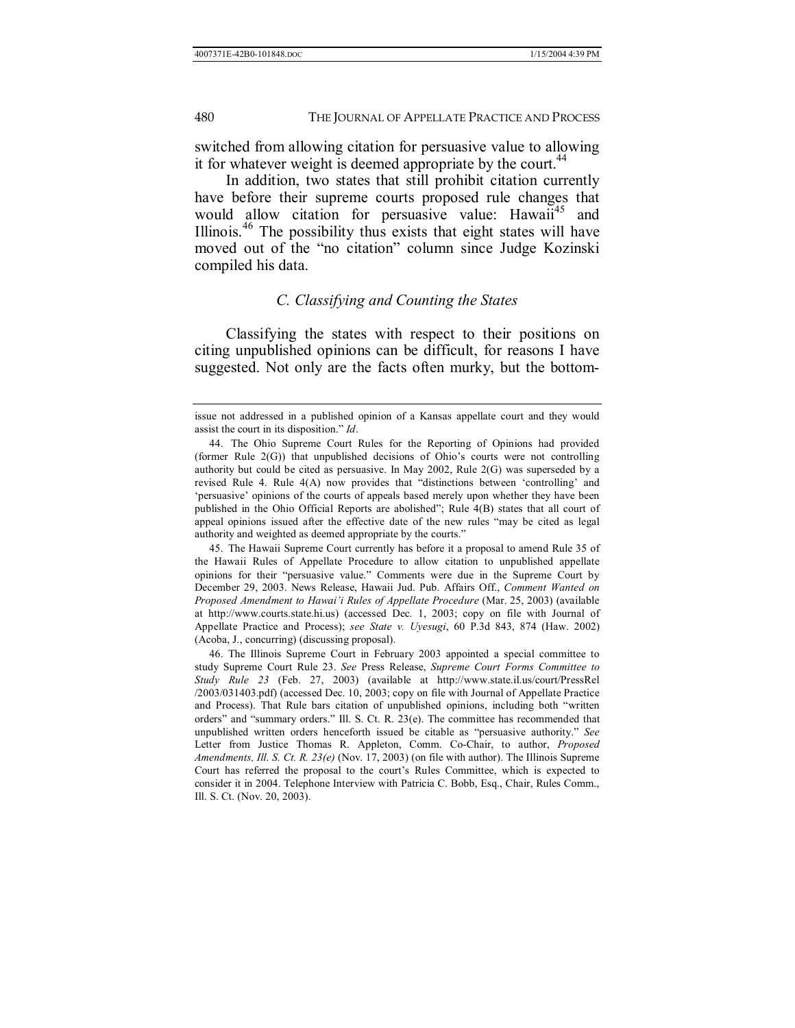switched from allowing citation for persuasive value to allowing it for whatever weight is deemed appropriate by the court.<sup>44</sup>

In addition, two states that still prohibit citation currently have before their supreme courts proposed rule changes that would allow citation for persuasive value: Hawaii<sup>45</sup> and Illinois.<sup>46</sup> The possibility thus exists that eight states will have moved out of the "no citation" column since Judge Kozinski compiled his data.

#### *C. Classifying and Counting the States*

Classifying the states with respect to their positions on citing unpublished opinions can be difficult, for reasons I have suggested. Not only are the facts often murky, but the bottom-

 45. The Hawaii Supreme Court currently has before it a proposal to amend Rule 35 of the Hawaii Rules of Appellate Procedure to allow citation to unpublished appellate opinions for their "persuasive value." Comments were due in the Supreme Court by December 29, 2003. News Release, Hawaii Jud. Pub. Affairs Off., *Comment Wanted on Proposed Amendment to Hawai'i Rules of Appellate Procedure* (Mar. 25, 2003) (available at http://www.courts.state.hi.us) (accessed Dec. 1, 2003; copy on file with Journal of Appellate Practice and Process); *see State v. Uyesugi*, 60 P.3d 843, 874 (Haw. 2002) (Acoba, J., concurring) (discussing proposal).

 46. The Illinois Supreme Court in February 2003 appointed a special committee to study Supreme Court Rule 23. *See* Press Release, *Supreme Court Forms Committee to Study Rule 23* (Feb. 27, 2003) (available at http://www.state.il.us/court/PressRel /2003/031403.pdf) (accessed Dec. 10, 2003; copy on file with Journal of Appellate Practice and Process). That Rule bars citation of unpublished opinions, including both "written orders" and "summary orders." Ill. S. Ct. R.  $23(e)$ . The committee has recommended that unpublished written orders henceforth issued be citable as "persuasive authority." See Letter from Justice Thomas R. Appleton, Comm. Co-Chair, to author, *Proposed Amendments, Ill. S. Ct. R. 23(e)* (Nov. 17, 2003) (on file with author). The Illinois Supreme Court has referred the proposal to the court's Rules Committee, which is expected to consider it in 2004. Telephone Interview with Patricia C. Bobb, Esq., Chair, Rules Comm., Ill. S. Ct. (Nov. 20, 2003).

issue not addressed in a published opinion of a Kansas appellate court and they would assist the court in its disposition." *Id*.

 <sup>44.</sup> The Ohio Supreme Court Rules for the Reporting of Opinions had provided (former Rule  $2(G)$ ) that unpublished decisions of Ohio's courts were not controlling authority but could be cited as persuasive. In May 2002, Rule 2(G) was superseded by a revised Rule 4. Rule  $4(A)$  now provides that "distinctions between 'controlling' and ëpersuasiveí opinions of the courts of appeals based merely upon whether they have been published in the Ohio Official Reports are abolished"; Rule 4(B) states that all court of appeal opinions issued after the effective date of the new rules "may be cited as legal authority and weighted as deemed appropriate by the courts."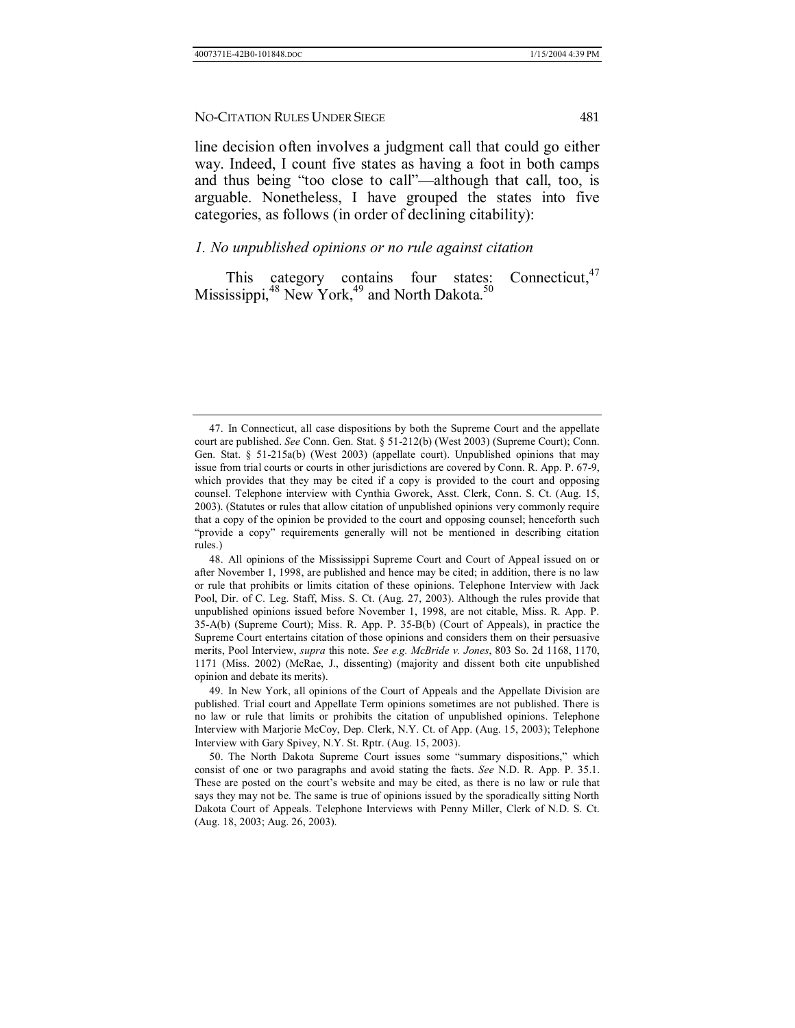line decision often involves a judgment call that could go either way. Indeed, I count five states as having a foot in both camps and thus being "too close to call"—although that call, too, is arguable. Nonetheless, I have grouped the states into five categories, as follows (in order of declining citability):

## *1. No unpublished opinions or no rule against citation*

This category contains four states: Connecticut,<sup>47</sup> Mississippi,  $48$  New York,  $49$  and North Dakota.<sup>5</sup>

 <sup>47.</sup> In Connecticut, all case dispositions by both the Supreme Court and the appellate court are published. *See* Conn. Gen. Stat. ß 51-212(b) (West 2003) (Supreme Court); Conn. Gen. Stat. ß 51-215a(b) (West 2003) (appellate court). Unpublished opinions that may issue from trial courts or courts in other jurisdictions are covered by Conn. R. App. P. 67-9, which provides that they may be cited if a copy is provided to the court and opposing counsel. Telephone interview with Cynthia Gworek, Asst. Clerk, Conn. S. Ct. (Aug. 15, 2003). (Statutes or rules that allow citation of unpublished opinions very commonly require that a copy of the opinion be provided to the court and opposing counsel; henceforth such ìprovide a copyî requirements generally will not be mentioned in describing citation rules.)

 <sup>48.</sup> All opinions of the Mississippi Supreme Court and Court of Appeal issued on or after November 1, 1998, are published and hence may be cited; in addition, there is no law or rule that prohibits or limits citation of these opinions. Telephone Interview with Jack Pool, Dir. of C. Leg. Staff, Miss. S. Ct. (Aug. 27, 2003). Although the rules provide that unpublished opinions issued before November 1, 1998, are not citable, Miss. R. App. P. 35-A(b) (Supreme Court); Miss. R. App. P. 35-B(b) (Court of Appeals), in practice the Supreme Court entertains citation of those opinions and considers them on their persuasive merits, Pool Interview, *supra* this note. *See e.g. McBride v. Jones*, 803 So. 2d 1168, 1170, 1171 (Miss. 2002) (McRae, J., dissenting) (majority and dissent both cite unpublished opinion and debate its merits).

 <sup>49.</sup> In New York, all opinions of the Court of Appeals and the Appellate Division are published. Trial court and Appellate Term opinions sometimes are not published. There is no law or rule that limits or prohibits the citation of unpublished opinions. Telephone Interview with Marjorie McCoy, Dep. Clerk, N.Y. Ct. of App. (Aug. 15, 2003); Telephone Interview with Gary Spivey, N.Y. St. Rptr. (Aug. 15, 2003).

<sup>50.</sup> The North Dakota Supreme Court issues some "summary dispositions," which consist of one or two paragraphs and avoid stating the facts. *See* N.D. R. App. P. 35.1. These are posted on the court's website and may be cited, as there is no law or rule that says they may not be. The same is true of opinions issued by the sporadically sitting North Dakota Court of Appeals. Telephone Interviews with Penny Miller, Clerk of N.D. S. Ct. (Aug. 18, 2003; Aug. 26, 2003).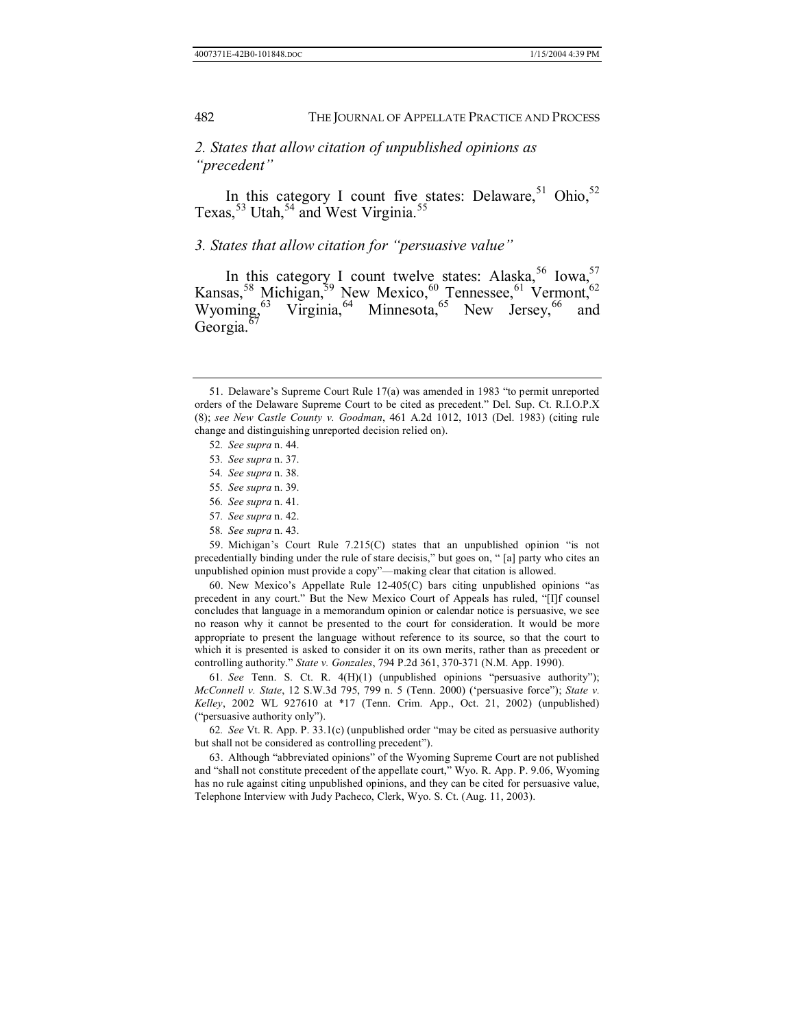## *2. States that allow citation of unpublished opinions as <sup><sup><i>'*</sup>precedent</sub>''</sup>

In this category I count five states: Delaware,  $51$  Ohio,  $52$ Texas,  $53$  Utah,  $54$  and West Virginia.<sup>55</sup>

## 3. States that allow citation for "persuasive value"

In this category I count twelve states: Alaska,<sup>56</sup> Iowa,<sup>57</sup> Kansas,  $^{58}$  Michigan,  $^{59}$  New Mexico,  $^{60}$  Tennessee,  $^{61}$  Vermont,  $^{62}$ Wyoming,  $^{63}$  Virginia,  $^{64}$  Minnesota,  $^{65}$  New Jersey,  $^{66}$  and Georgia.<sup>67</sup>

- 57*. See supra* n. 42.
- 58*. See supra* n. 43.

59. Michigan's Court Rule  $7.215(C)$  states that an unpublished opinion "is not precedentially binding under the rule of stare decisis," but goes on, "[a] party who cites an unpublished opinion must provide a copy"—making clear that citation is allowed.

60. New Mexico's Appellate Rule  $12-405(C)$  bars citing unpublished opinions "as precedent in any court." But the New Mexico Court of Appeals has ruled, "[I]f counsel concludes that language in a memorandum opinion or calendar notice is persuasive, we see no reason why it cannot be presented to the court for consideration. It would be more appropriate to present the language without reference to its source, so that the court to which it is presented is asked to consider it on its own merits, rather than as precedent or controlling authority.î *State v. Gonzales*, 794 P.2d 361, 370-371 (N.M. App. 1990).

61. See Tenn. S. Ct. R. 4(H)(1) (unpublished opinions "persuasive authority"); *McConnell v. State*, 12 S.W.3d 795, 799 n. 5 (Tenn. 2000) ('persuasive force"); *State v. Kelley*, 2002 WL 927610 at \*17 (Tenn. Crim. App., Oct. 21, 2002) (unpublished) ("persuasive authority only").

62. See Vt. R. App. P. 33.1(c) (unpublished order "may be cited as persuasive authority but shall not be considered as controlling precedent").

63. Although "abbreviated opinions" of the Wyoming Supreme Court are not published and "shall not constitute precedent of the appellate court," Wyo. R. App. P. 9.06, Wyoming has no rule against citing unpublished opinions, and they can be cited for persuasive value, Telephone Interview with Judy Pacheco, Clerk, Wyo. S. Ct. (Aug. 11, 2003).

<sup>51.</sup> Delaware's Supreme Court Rule  $17(a)$  was amended in 1983 "to permit unreported orders of the Delaware Supreme Court to be cited as precedent.î Del. Sup. Ct. R.I.O.P.X (8); *see New Castle County v. Goodman*, 461 A.2d 1012, 1013 (Del. 1983) (citing rule change and distinguishing unreported decision relied on).

<sup>52</sup>*. See supra* n. 44.

<sup>53</sup>*. See supra* n. 37.

<sup>54</sup>*. See supra* n. 38.

<sup>55</sup>*. See supra* n. 39.

<sup>56</sup>*. See supra* n. 41.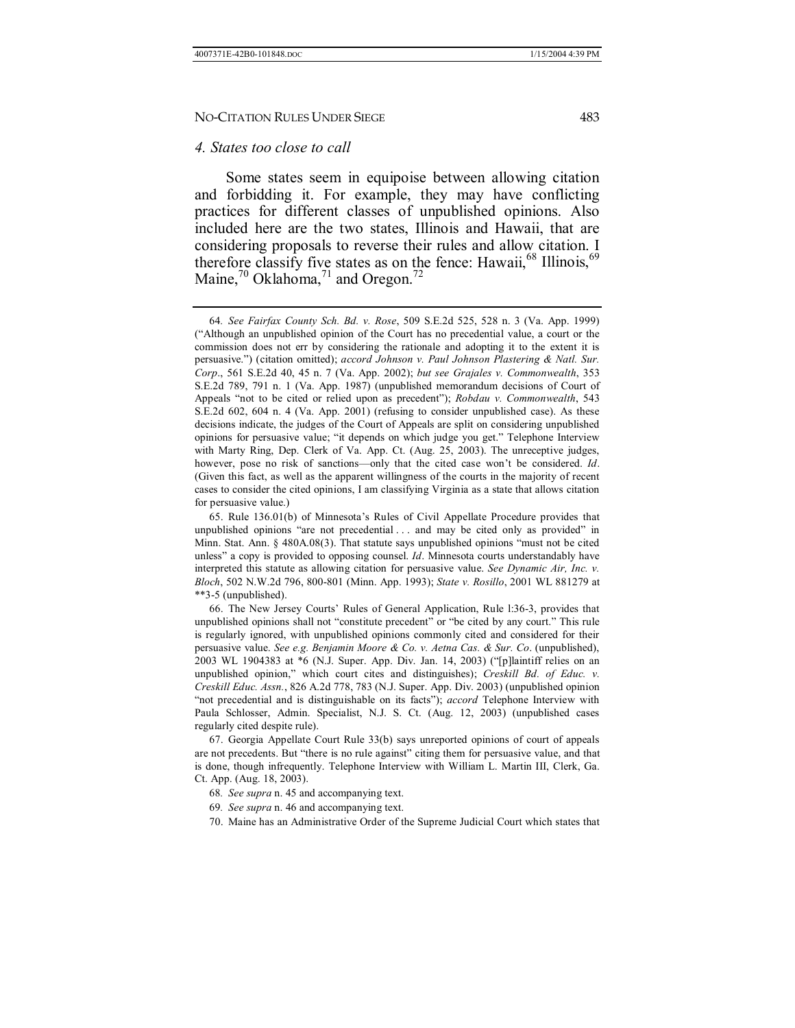#### *4. States too close to call*

Some states seem in equipoise between allowing citation and forbidding it. For example, they may have conflicting practices for different classes of unpublished opinions. Also included here are the two states, Illinois and Hawaii, that are considering proposals to reverse their rules and allow citation. I therefore classify five states as on the fence: Hawaii, $68$  Illinois,  $69$ Maine, $\frac{70}{10}$  Oklahoma, $\frac{71}{10}$  and Oregon.<sup>72</sup>

<sup>64</sup>*. See Fairfax County Sch. Bd. v. Rose*, 509 S.E.2d 525, 528 n. 3 (Va. App. 1999) (ìAlthough an unpublished opinion of the Court has no precedential value, a court or the commission does not err by considering the rationale and adopting it to the extent it is persuasive.î) (citation omitted); *accord Johnson v. Paul Johnson Plastering & Natl. Sur. Corp*., 561 S.E.2d 40, 45 n. 7 (Va. App. 2002); *but see Grajales v. Commonwealth*, 353 S.E.2d 789, 791 n. 1 (Va. App. 1987) (unpublished memorandum decisions of Court of Appeals "not to be cited or relied upon as precedent"); *Robdau v. Commonwealth*, 543 S.E.2d 602, 604 n. 4 (Va. App. 2001) (refusing to consider unpublished case). As these decisions indicate, the judges of the Court of Appeals are split on considering unpublished opinions for persuasive value; "it depends on which judge you get." Telephone Interview with Marty Ring, Dep. Clerk of Va. App. Ct. (Aug. 25, 2003). The unreceptive judges, however, pose no risk of sanctions-only that the cited case won't be considered. *Id*. (Given this fact, as well as the apparent willingness of the courts in the majority of recent cases to consider the cited opinions, I am classifying Virginia as a state that allows citation for persuasive value.)

 <sup>65.</sup> Rule 136.01(b) of Minnesotaís Rules of Civil Appellate Procedure provides that unpublished opinions "are not precedential  $\ldots$  and may be cited only as provided" in Minn. Stat. Ann.  $\S$  480A.08(3). That statute says unpublished opinions "must not be cited unless" a copy is provided to opposing counsel. *Id*. Minnesota courts understandably have interpreted this statute as allowing citation for persuasive value. *See Dynamic Air, Inc. v. Bloch*, 502 N.W.2d 796, 800-801 (Minn. App. 1993); *State v. Rosillo*, 2001 WL 881279 at \*\*3-5 (unpublished).

<sup>66.</sup> The New Jersey Courts' Rules of General Application, Rule 1:36-3, provides that unpublished opinions shall not "constitute precedent" or "be cited by any court." This rule is regularly ignored, with unpublished opinions commonly cited and considered for their persuasive value. *See e.g. Benjamin Moore & Co. v. Aetna Cas. & Sur. Co*. (unpublished), 2003 WL 1904383 at  $*6$  (N.J. Super. App. Div. Jan. 14, 2003) ("[p]laintiff relies on an unpublished opinion," which court cites and distinguishes); *Creskill Bd. of Educ. v. Creskill Educ. Assn.*, 826 A.2d 778, 783 (N.J. Super. App. Div. 2003) (unpublished opinion "not precedential and is distinguishable on its facts"); *accord* Telephone Interview with Paula Schlosser, Admin. Specialist, N.J. S. Ct. (Aug. 12, 2003) (unpublished cases regularly cited despite rule).

 <sup>67.</sup> Georgia Appellate Court Rule 33(b) says unreported opinions of court of appeals are not precedents. But "there is no rule against" citing them for persuasive value, and that is done, though infrequently. Telephone Interview with William L. Martin III, Clerk, Ga. Ct. App. (Aug. 18, 2003).

<sup>68</sup>*. See supra* n. 45 and accompanying text.

<sup>69</sup>*. See supra* n. 46 and accompanying text.

 <sup>70.</sup> Maine has an Administrative Order of the Supreme Judicial Court which states that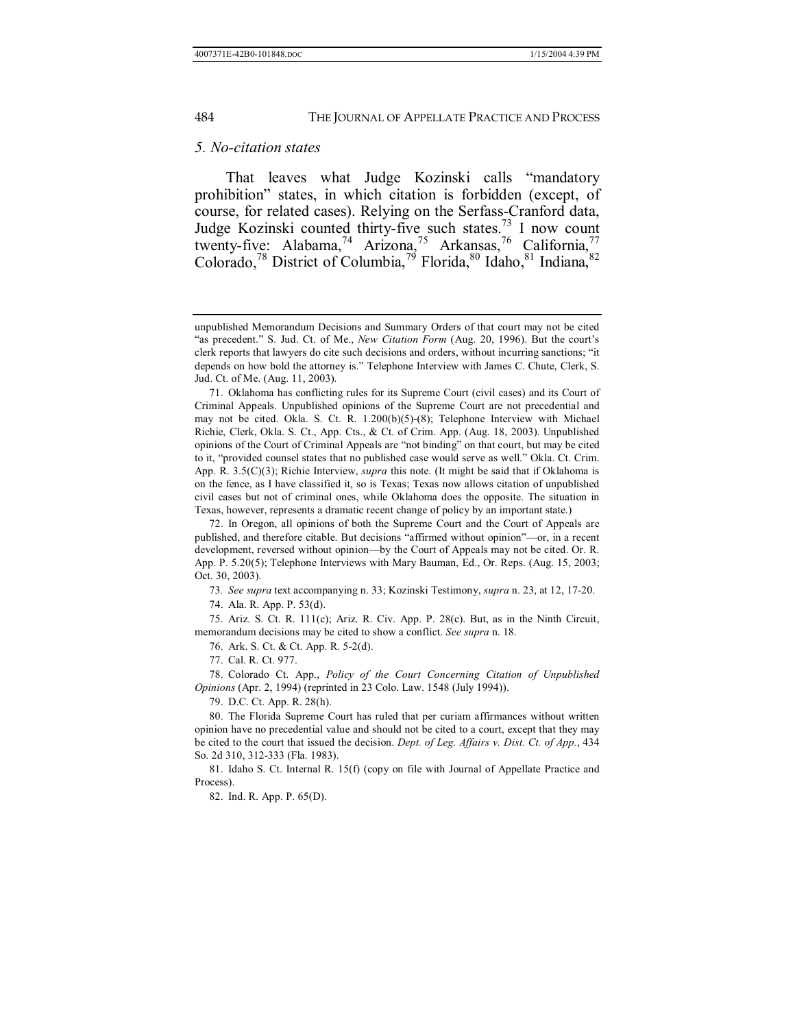#### *5. No-citation states*

That leaves what Judge Kozinski calls "mandatory" prohibitionî states, in which citation is forbidden (except, of course, for related cases). Relying on the Serfass-Cranford data, Judge Kozinski counted thirty-five such states.<sup>73</sup> I now count twenty-five: Alabama,<sup>74</sup> Arizona,<sup>75</sup> Arkansas,<sup>76</sup> California,<sup>77</sup> Colorado,<sup>78</sup> District of Columbia,<sup>79</sup> Florida,<sup>80</sup> Idaho,<sup>81</sup> Indiana,<sup>82</sup>

73*. See supra* text accompanying n. 33; Kozinski Testimony, *supra* n. 23, at 12, 17-20.

74. Ala. R. App. P. 53(d).

 75. Ariz. S. Ct. R. 111(c); Ariz. R. Civ. App. P. 28(c). But, as in the Ninth Circuit, memorandum decisions may be cited to show a conflict. *See supra* n. 18.

76. Ark. S. Ct. & Ct. App. R. 5-2(d).

77. Cal. R. Ct. 977.

 78. Colorado Ct. App., *Policy of the Court Concerning Citation of Unpublished Opinions* (Apr. 2, 1994) (reprinted in 23 Colo. Law. 1548 (July 1994)).

79. D.C. Ct. App. R. 28(h).

 80. The Florida Supreme Court has ruled that per curiam affirmances without written opinion have no precedential value and should not be cited to a court, except that they may be cited to the court that issued the decision. *Dept. of Leg. Affairs v. Dist. Ct. of App.*, 434 So. 2d 310, 312-333 (Fla. 1983).

 81. Idaho S. Ct. Internal R. 15(f) (copy on file with Journal of Appellate Practice and Process).

82. Ind. R. App. P. 65(D).

unpublished Memorandum Decisions and Summary Orders of that court may not be cited "as precedent." S. Jud. Ct. of Me., *New Citation Form* (Aug. 20, 1996). But the court's clerk reports that lawyers do cite such decisions and orders, without incurring sanctions; "it depends on how bold the attorney is.î Telephone Interview with James C. Chute, Clerk, S. Jud. Ct. of Me. (Aug. 11, 2003).

 <sup>71.</sup> Oklahoma has conflicting rules for its Supreme Court (civil cases) and its Court of Criminal Appeals. Unpublished opinions of the Supreme Court are not precedential and may not be cited. Okla. S. Ct. R. 1.200(b)(5)-(8); Telephone Interview with Michael Richie, Clerk, Okla. S. Ct., App. Cts., & Ct. of Crim. App. (Aug. 18, 2003). Unpublished opinions of the Court of Criminal Appeals are "not binding" on that court, but may be cited to it, "provided counsel states that no published case would serve as well." Okla. Ct. Crim. App. R. 3.5(C)(3); Richie Interview, *supra* this note. (It might be said that if Oklahoma is on the fence, as I have classified it, so is Texas; Texas now allows citation of unpublished civil cases but not of criminal ones, while Oklahoma does the opposite. The situation in Texas, however, represents a dramatic recent change of policy by an important state.)

 <sup>72.</sup> In Oregon, all opinions of both the Supreme Court and the Court of Appeals are published, and therefore citable. But decisions "affirmed without opinion"—or, in a recent development, reversed without opinion—by the Court of Appeals may not be cited. Or. R. App. P. 5.20(5); Telephone Interviews with Mary Bauman, Ed., Or. Reps. (Aug. 15, 2003; Oct. 30, 2003).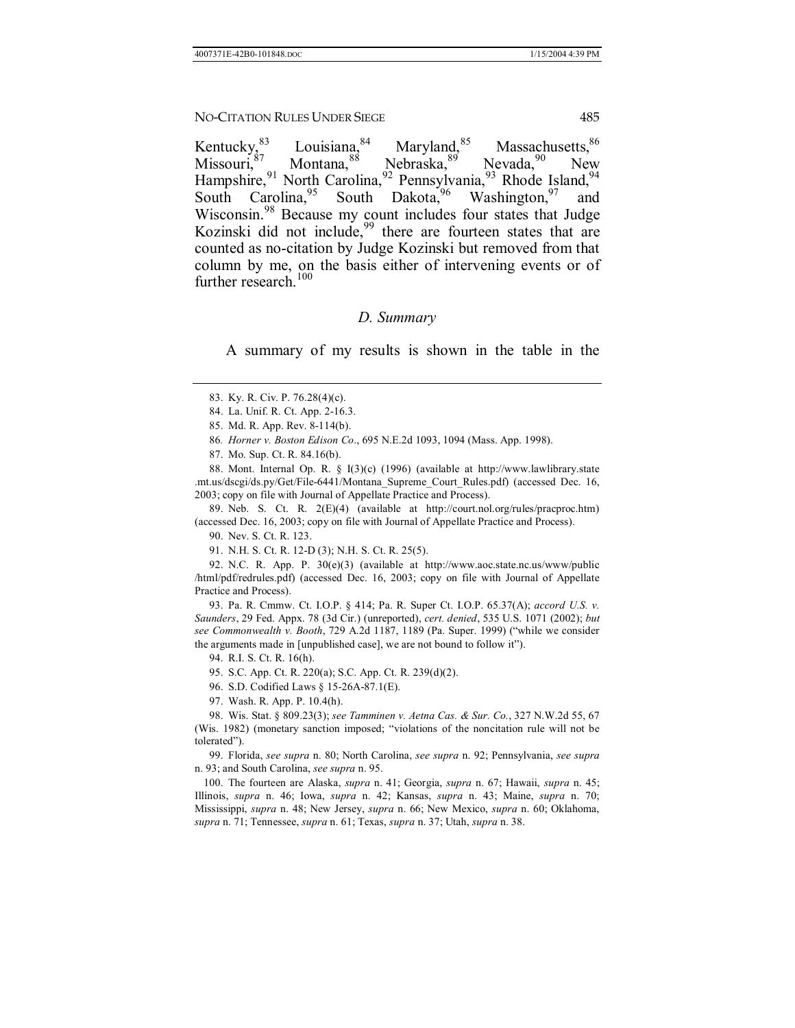Kentucky,  $^{83}$  Louisiana, Maryland,  $^{85}$  Massachusetts,  $^{86}$  Missouri, Montana, Meloraska, Meloraska, Meloraska, Meloraska, Meloraska, Meloraska, Meloraska, Meloraska, Meloraska, Meloraska, Meloraska, Meloraska, Mel Montana,<sup>88</sup> Nebraska,<sup>89</sup> Nevada,<sup>90</sup> New Hampshire, <sup>91</sup> North Carolina, <sup>92</sup> Pennsylvania, <sup>93</sup> Rhode Island, <sup>94</sup> South Carolina, <sup>95</sup> South Dakota, <sup>96</sup> Washington, <sup>97</sup> and South Carolina, <sup>95</sup> South Dakota, <sup>96</sup> Washington, <sup>97</sup> and Wisconsin.<sup>98</sup> Because my count includes four states that Judge Kozinski did not include,<sup>99</sup> there are fourteen states that are counted as no-citation by Judge Kozinski but removed from that column by me, on the basis either of intervening events or of further research.<sup>100</sup>

#### *D. Summary*

A summary of my results is shown in the table in the

86*. Horner v. Boston Edison Co*., 695 N.E.2d 1093, 1094 (Mass. App. 1998).

87. Mo. Sup. Ct. R. 84.16(b).

 88. Mont. Internal Op. R. ß I(3)(c) (1996) (available at http://www.lawlibrary.state .mt.us/dscgi/ds.py/Get/File-6441/Montana\_Supreme\_Court\_Rules.pdf) (accessed Dec. 16, 2003; copy on file with Journal of Appellate Practice and Process).

 89. Neb. S. Ct. R. 2(E)(4) (available at http://court.nol.org/rules/pracproc.htm) (accessed Dec. 16, 2003; copy on file with Journal of Appellate Practice and Process).

90. Nev. S. Ct. R. 123.

91. N.H. S. Ct. R. 12-D (3); N.H. S. Ct. R. 25(5).

 92. N.C. R. App. P. 30(e)(3) (available at http://www.aoc.state.nc.us/www/public /html/pdf/redrules.pdf) (accessed Dec. 16, 2003; copy on file with Journal of Appellate Practice and Process).

 93. Pa. R. Cmmw. Ct. I.O.P. ß 414; Pa. R. Super Ct. I.O.P. 65.37(A); *accord U.S. v. Saunders*, 29 Fed. Appx. 78 (3d Cir.) (unreported), *cert. denied*, 535 U.S. 1071 (2002); *but see Commonwealth v. Booth*, 729 A.2d 1187, 1189 (Pa. Super. 1999) ("while we consider the arguments made in [unpublished case], we are not bound to follow it").

94. R.I. S. Ct. R. 16(h).

95. S.C. App. Ct. R. 220(a); S.C. App. Ct. R. 239(d)(2).

96. S.D. Codified Laws ß 15-26A-87.1(E).

97. Wash. R. App. P. 10.4(h).

 98. Wis. Stat. ß 809.23(3); *see Tamminen v. Aetna Cas. & Sur. Co.*, 327 N.W.2d 55, 67 (Wis. 1982) (monetary sanction imposed; "violations of the noncitation rule will not be tolerated").

 99. Florida, *see supra* n. 80; North Carolina, *see supra* n. 92; Pennsylvania, *see supra* n. 93; and South Carolina, *see supra* n. 95.

 100. The fourteen are Alaska, *supra* n. 41; Georgia, *supra* n. 67; Hawaii, *supra* n. 45; Illinois, *supra* n. 46; Iowa, *supra* n. 42; Kansas, *supra* n. 43; Maine, *supra* n. 70; Mississippi, *supra* n. 48; New Jersey, *supra* n. 66; New Mexico, *supra* n. 60; Oklahoma, *supra* n. 71; Tennessee, *supra* n. 61; Texas, *supra* n. 37; Utah, *supra* n. 38.

 <sup>83.</sup> Ky. R. Civ. P. 76.28(4)(c).

 <sup>84.</sup> La. Unif. R. Ct. App. 2-16.3.

 <sup>85.</sup> Md. R. App. Rev. 8-114(b).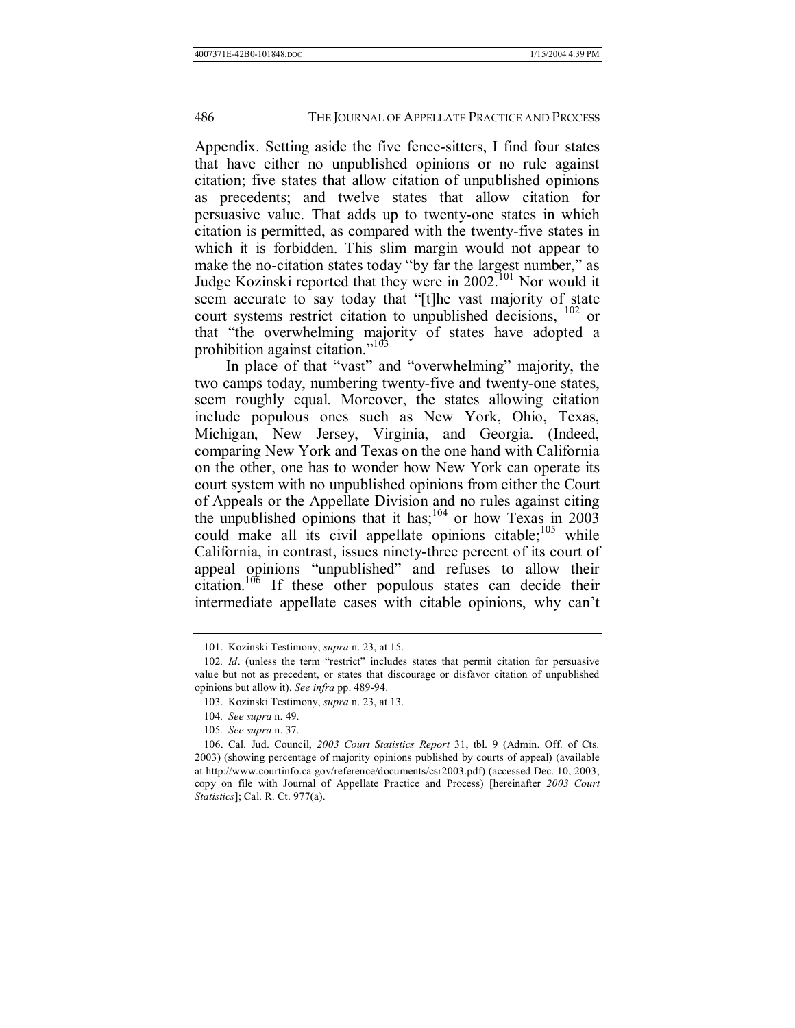Appendix. Setting aside the five fence-sitters, I find four states that have either no unpublished opinions or no rule against citation; five states that allow citation of unpublished opinions as precedents; and twelve states that allow citation for persuasive value. That adds up to twenty-one states in which citation is permitted, as compared with the twenty-five states in which it is forbidden. This slim margin would not appear to make the no-citation states today "by far the largest number," as Judge Kozinski reported that they were in 2002.101 Nor would it seem accurate to say today that "[t]he vast majority of state court systems restrict citation to unpublished decisions, 102 or that "the overwhelming majority of states have adopted a prohibition against citation. $103$ 

In place of that "vast" and "overwhelming" majority, the two camps today, numbering twenty-five and twenty-one states, seem roughly equal. Moreover, the states allowing citation include populous ones such as New York, Ohio, Texas, Michigan, New Jersey, Virginia, and Georgia. (Indeed, comparing New York and Texas on the one hand with California on the other, one has to wonder how New York can operate its court system with no unpublished opinions from either the Court of Appeals or the Appellate Division and no rules against citing the unpublished opinions that it has;<sup>104</sup> or how Texas in 2003 could make all its civil appellate opinions citable; $105$  while California, in contrast, issues ninety-three percent of its court of appeal opinions "unpublished" and refuses to allow their citation.<sup>106</sup> If these other populous states can decide their intermediate appellate cases with citable opinions, why can't

 <sup>101.</sup> Kozinski Testimony, *supra* n. 23, at 15.

<sup>102.</sup> Id. (unless the term "restrict" includes states that permit citation for persuasive value but not as precedent, or states that discourage or disfavor citation of unpublished opinions but allow it). *See infra* pp. 489-94.

 <sup>103.</sup> Kozinski Testimony, *supra* n. 23, at 13.

<sup>104</sup>*. See supra* n. 49.

<sup>105</sup>*. See supra* n. 37.

 <sup>106.</sup> Cal. Jud. Council, *2003 Court Statistics Report* 31, tbl. 9 (Admin. Off. of Cts. 2003) (showing percentage of majority opinions published by courts of appeal) (available at http://www.courtinfo.ca.gov/reference/documents/csr2003.pdf) (accessed Dec. 10, 2003; copy on file with Journal of Appellate Practice and Process) [hereinafter *2003 Court Statistics*]; Cal. R. Ct. 977(a).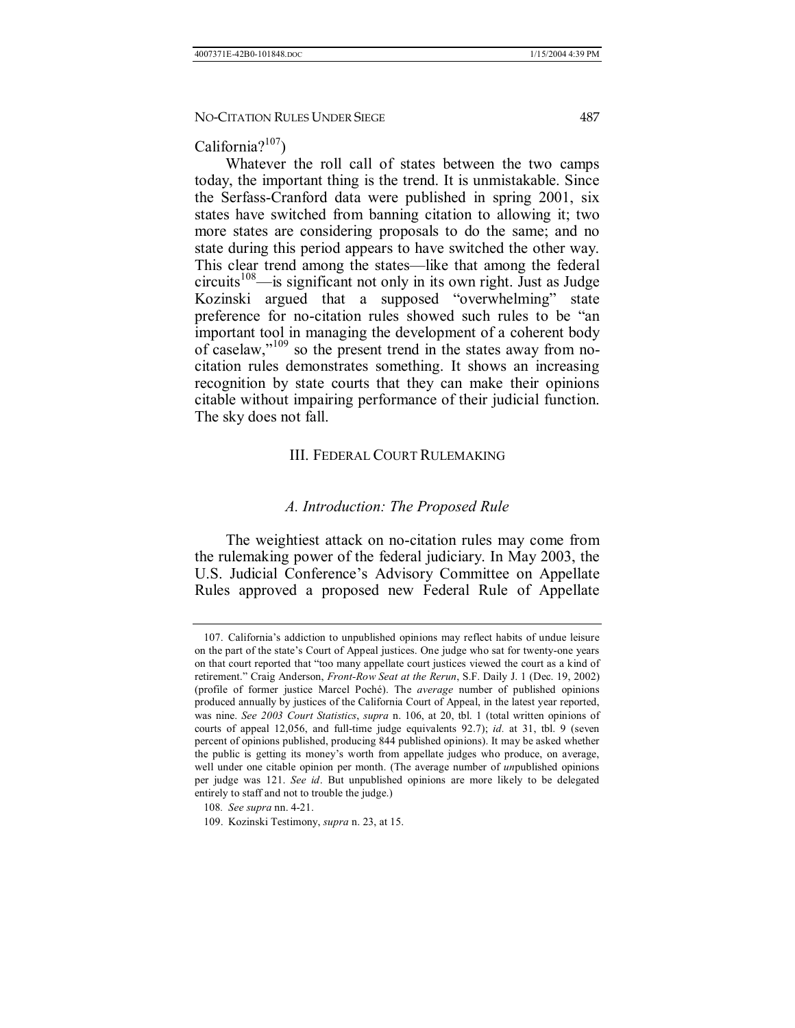## California?<sup>107</sup>)

Whatever the roll call of states between the two camps today, the important thing is the trend. It is unmistakable. Since the Serfass-Cranford data were published in spring 2001, six states have switched from banning citation to allowing it; two more states are considering proposals to do the same; and no state during this period appears to have switched the other way. This clear trend among the states—like that among the federal  $circuits<sup>108</sup>$ —is significant not only in its own right. Just as Judge Kozinski argued that a supposed "overwhelming" state preference for no-citation rules showed such rules to be "an important tool in managing the development of a coherent body of caselaw," $109$  so the present trend in the states away from nocitation rules demonstrates something. It shows an increasing recognition by state courts that they can make their opinions citable without impairing performance of their judicial function. The sky does not fall.

## III. FEDERAL COURT RULEMAKING

#### *A. Introduction: The Proposed Rule*

The weightiest attack on no-citation rules may come from the rulemaking power of the federal judiciary. In May 2003, the U.S. Judicial Conference's Advisory Committee on Appellate Rules approved a proposed new Federal Rule of Appellate

 <sup>107.</sup> Californiaís addiction to unpublished opinions may reflect habits of undue leisure on the part of the state's Court of Appeal justices. One judge who sat for twenty-one years on that court reported that "too many appellate court justices viewed the court as a kind of retirement.î Craig Anderson, *Front-Row Seat at the Rerun*, S.F. Daily J. 1 (Dec. 19, 2002) (profile of former justice Marcel PochÈ). The *average* number of published opinions produced annually by justices of the California Court of Appeal, in the latest year reported, was nine. *See 2003 Court Statistics*, *supra* n. 106, at 20, tbl. 1 (total written opinions of courts of appeal 12,056, and full-time judge equivalents 92.7); *id.* at 31, tbl. 9 (seven percent of opinions published, producing 844 published opinions). It may be asked whether the public is getting its moneyís worth from appellate judges who produce, on average, well under one citable opinion per month. (The average number of *un*published opinions per judge was 121. *See id*. But unpublished opinions are more likely to be delegated entirely to staff and not to trouble the judge.)

<sup>108</sup>*. See supra* nn. 4-21.

 <sup>109.</sup> Kozinski Testimony, *supra* n. 23, at 15.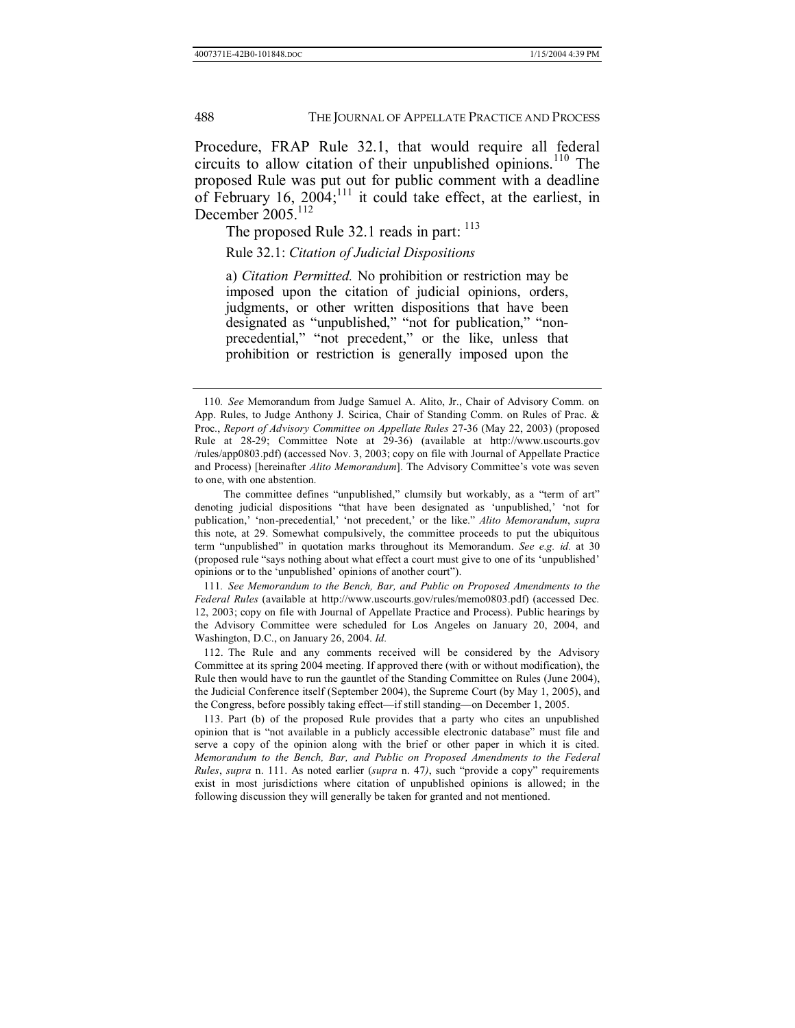Procedure, FRAP Rule 32.1, that would require all federal circuits to allow citation of their unpublished opinions.<sup>110</sup> The proposed Rule was put out for public comment with a deadline of February 16,  $2004$ ;<sup>111</sup> it could take effect, at the earliest, in December  $2005$ <sup>112</sup>

The proposed Rule 32.1 reads in part: <sup>113</sup>

Rule 32.1: *Citation of Judicial Dispositions*

a) *Citation Permitted.* No prohibition or restriction may be imposed upon the citation of judicial opinions, orders, judgments, or other written dispositions that have been designated as "unpublished," "not for publication," "nonprecedential," "not precedent," or the like, unless that prohibition or restriction is generally imposed upon the

111*. See Memorandum to the Bench, Bar, and Public on Proposed Amendments to the Federal Rules* (available at http://www.uscourts.gov/rules/memo0803.pdf) (accessed Dec. 12, 2003; copy on file with Journal of Appellate Practice and Process). Public hearings by the Advisory Committee were scheduled for Los Angeles on January 20, 2004, and Washington, D.C., on January 26, 2004. *Id.*

 112. The Rule and any comments received will be considered by the Advisory Committee at its spring 2004 meeting. If approved there (with or without modification), the Rule then would have to run the gauntlet of the Standing Committee on Rules (June 2004), the Judicial Conference itself (September 2004), the Supreme Court (by May 1, 2005), and the Congress, before possibly taking effect—if still standing—on December 1, 2005.

 113. Part (b) of the proposed Rule provides that a party who cites an unpublished opinion that is "not available in a publicly accessible electronic database" must file and serve a copy of the opinion along with the brief or other paper in which it is cited. *Memorandum to the Bench, Bar, and Public on Proposed Amendments to the Federal Rules*, *supra* n. 111. As noted earlier (*supra* n. 47), such "provide a copy" requirements exist in most jurisdictions where citation of unpublished opinions is allowed; in the following discussion they will generally be taken for granted and not mentioned.

<sup>110</sup>*. See* Memorandum from Judge Samuel A. Alito, Jr., Chair of Advisory Comm. on App. Rules, to Judge Anthony J. Scirica, Chair of Standing Comm. on Rules of Prac. & Proc., *Report of Advisory Committee on Appellate Rules* 27-36 (May 22, 2003) (proposed Rule at 28-29; Committee Note at 29-36) (available at http://www.uscourts.gov /rules/app0803.pdf) (accessed Nov. 3, 2003; copy on file with Journal of Appellate Practice and Process) [hereinafter *Alito Memorandum*]. The Advisory Committee's vote was seven to one, with one abstention.

The committee defines "unpublished," clumsily but workably, as a "term of art" denoting judicial dispositions "that have been designated as 'unpublished,' 'not for publication,<sup>*'*</sup> fon-precedential,<sup>*'*</sup> not precedent,*'* or the like.<sup>*"*</sup> *Alito Memorandum*, *supra* this note, at 29. Somewhat compulsively, the committee proceeds to put the ubiquitous term "unpublished" in quotation marks throughout its Memorandum. *See e.g. id.* at 30 (proposed rule "says nothing about what effect a court must give to one of its 'unpublished' opinions or to the 'unpublished' opinions of another court").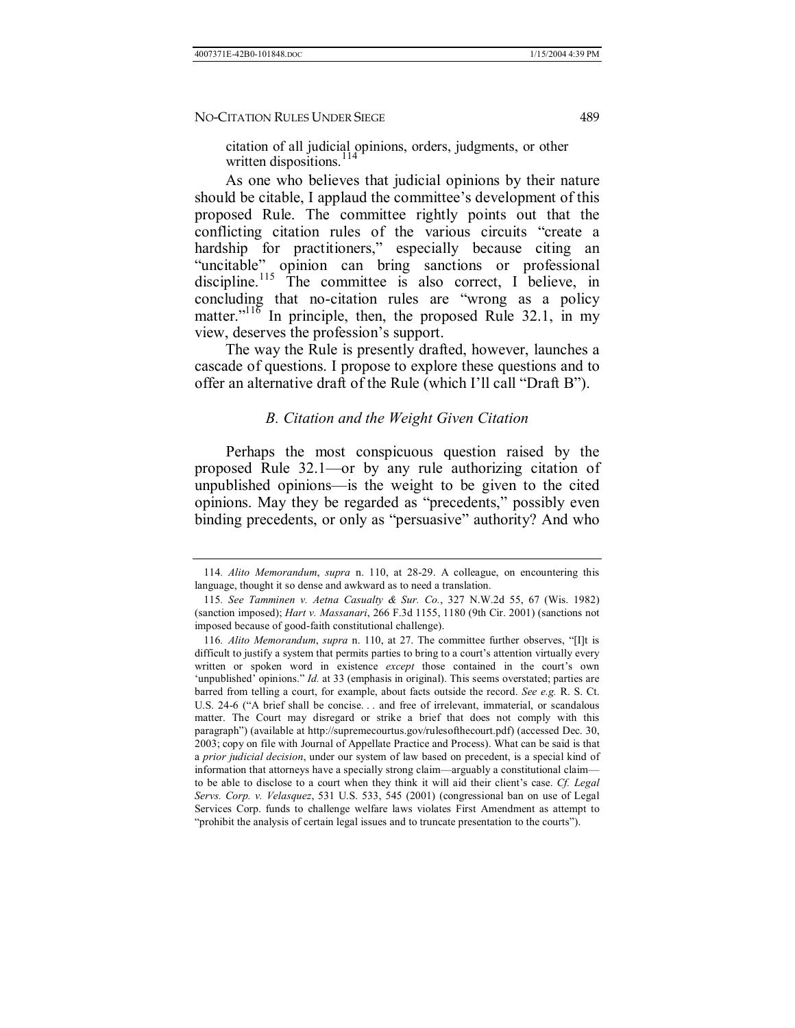citation of all judicial opinions, orders, judgments, or other written dispositions. $11$ 

As one who believes that judicial opinions by their nature should be citable, I applaud the committee's development of this proposed Rule. The committee rightly points out that the conflicting citation rules of the various circuits "create a hardship for practitioners," especially because citing an "uncitable" opinion can bring sanctions or professional discipline.<sup>115</sup> The committee is also correct, I believe, in concluding that no-citation rules are "wrong as a policy matter.<sup> $11\%$ </sup> In principle, then, the proposed Rule 32.1, in my view, deserves the profession's support.

The way the Rule is presently drafted, however, launches a cascade of questions. I propose to explore these questions and to offer an alternative draft of the Rule (which I'll call "Draft B").

#### *B. Citation and the Weight Given Citation*

Perhaps the most conspicuous question raised by the proposed Rule  $32.1$ —or by any rule authorizing citation of unpublished opinions—is the weight to be given to the cited opinions. May they be regarded as "precedents," possibly even binding precedents, or only as "persuasive" authority? And who

<sup>114</sup>*. Alito Memorandum*, *supra* n. 110, at 28-29. A colleague, on encountering this language, thought it so dense and awkward as to need a translation.

<sup>115</sup>*. See Tamminen v. Aetna Casualty & Sur. Co.*, 327 N.W.2d 55, 67 (Wis. 1982) (sanction imposed); *Hart v. Massanari*, 266 F.3d 1155, 1180 (9th Cir. 2001) (sanctions not imposed because of good-faith constitutional challenge).

<sup>116.</sup> Alito Memorandum, *supra* n. 110, at 27. The committee further observes, "[I]t is difficult to justify a system that permits parties to bring to a court's attention virtually every written or spoken word in existence *except* those contained in the court's own 'unpublished' opinions." *Id.* at 33 (emphasis in original). This seems overstated; parties are barred from telling a court, for example, about facts outside the record. *See e.g.* R. S. Ct. U.S. 24-6 ("A brief shall be concise... and free of irrelevant, immaterial, or scandalous matter. The Court may disregard or strike a brief that does not comply with this paragraph<sup>7</sup>) (available at http://supremecourtus.gov/rulesofthecourt.pdf) (accessed Dec. 30, 2003; copy on file with Journal of Appellate Practice and Process). What can be said is that a *prior judicial decision*, under our system of law based on precedent, is a special kind of information that attorneys have a specially strong claim—arguably a constitutional claim to be able to disclose to a court when they think it will aid their client's case. *Cf. Legal Servs. Corp. v. Velasquez*, 531 U.S. 533, 545 (2001) (congressional ban on use of Legal Services Corp. funds to challenge welfare laws violates First Amendment as attempt to "prohibit the analysis of certain legal issues and to truncate presentation to the courts").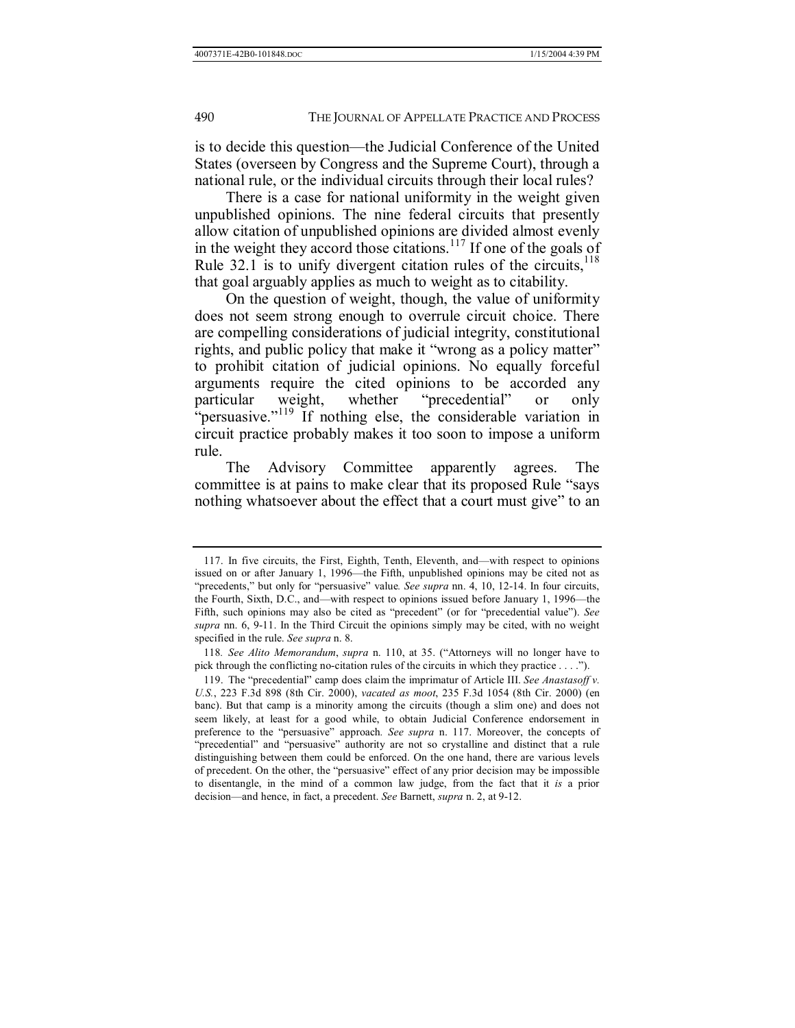is to decide this question—the Judicial Conference of the United States (overseen by Congress and the Supreme Court), through a national rule, or the individual circuits through their local rules?

There is a case for national uniformity in the weight given unpublished opinions. The nine federal circuits that presently allow citation of unpublished opinions are divided almost evenly in the weight they accord those citations.<sup>117</sup> If one of the goals of Rule 32.1 is to unify divergent citation rules of the circuits, $118$ that goal arguably applies as much to weight as to citability.

On the question of weight, though, the value of uniformity does not seem strong enough to overrule circuit choice. There are compelling considerations of judicial integrity, constitutional rights, and public policy that make it "wrong as a policy matter" to prohibit citation of judicial opinions. No equally forceful arguments require the cited opinions to be accorded any particular weight, whether "precedential" or only  $\cdot$  persuasive.<sup> $\cdot$ 119</sup> If nothing else, the considerable variation in circuit practice probably makes it too soon to impose a uniform rule.

The Advisory Committee apparently agrees. The committee is at pains to make clear that its proposed Rule "says" nothing whatsoever about the effect that a court must give" to an

<sup>117.</sup> In five circuits, the First, Eighth, Tenth, Eleventh, and—with respect to opinions issued on or after January 1, 1996—the Fifth, unpublished opinions may be cited not as "precedents," but only for "persuasive" value. *See supra* nn. 4, 10, 12-14. In four circuits, the Fourth, Sixth, D.C., and—with respect to opinions issued before January 1, 1996—the Fifth, such opinions may also be cited as "precedent" (or for "precedential value"). See *supra* nn. 6, 9-11. In the Third Circuit the opinions simply may be cited, with no weight specified in the rule. *See supra* n. 8.

<sup>118.</sup> See Alito Memorandum, *supra* n. 110, at 35. ("Attorneys will no longer have to pick through the conflicting no-citation rules of the circuits in which they practice  $\dots$ .").

<sup>119.</sup> The "precedential" camp does claim the imprimatur of Article III. *See Anastasoff v. U.S.*, 223 F.3d 898 (8th Cir. 2000), *vacated as moot*, 235 F.3d 1054 (8th Cir. 2000) (en banc). But that camp is a minority among the circuits (though a slim one) and does not seem likely, at least for a good while, to obtain Judicial Conference endorsement in preference to the "persuasive" approach. *See supra* n. 117. Moreover, the concepts of "precedential" and "persuasive" authority are not so crystalline and distinct that a rule distinguishing between them could be enforced. On the one hand, there are various levels of precedent. On the other, the "persuasive" effect of any prior decision may be impossible to disentangle, in the mind of a common law judge, from the fact that it *is* a prior decision—and hence, in fact, a precedent. *See* Barnett, *supra* n. 2, at 9-12.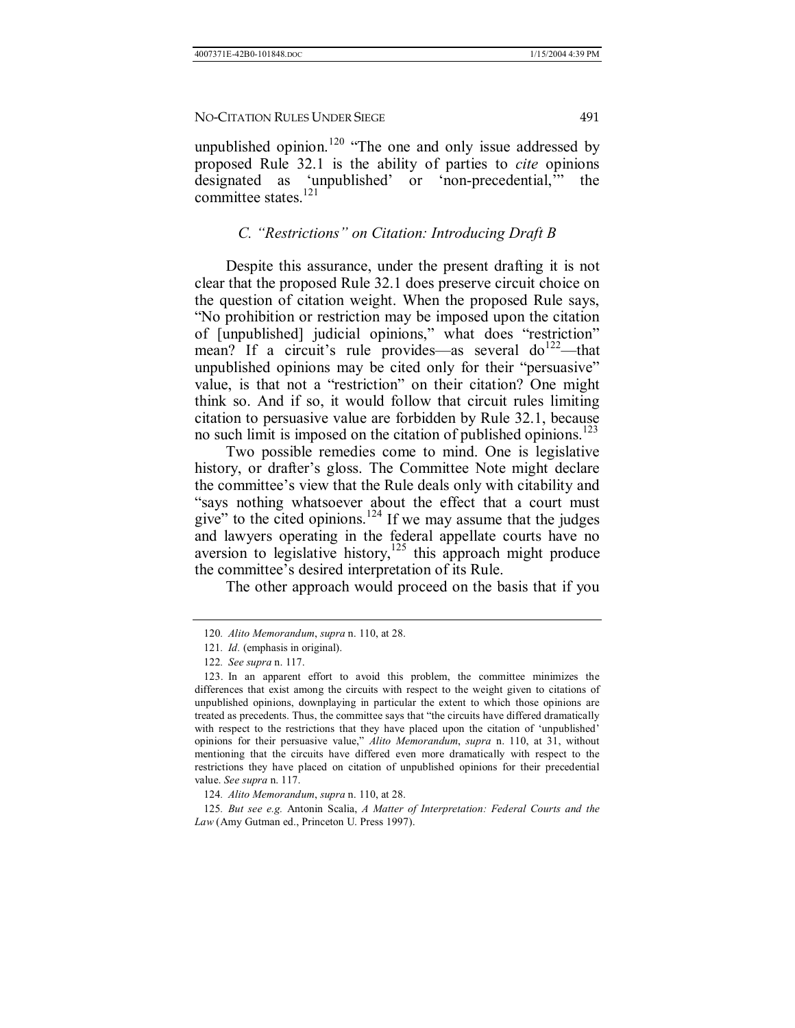unpublished opinion.<sup>120</sup> "The one and only issue addressed by proposed Rule 32.1 is the ability of parties to *cite* opinions designated as 'unpublished' or 'non-precedential," the committee states.<sup>121</sup>

## *C.* "Restrictions" on Citation: Introducing Draft B

Despite this assurance, under the present drafting it is not clear that the proposed Rule 32.1 does preserve circuit choice on the question of citation weight. When the proposed Rule says, ìNo prohibition or restriction may be imposed upon the citation of [unpublished] judicial opinions," what does "restriction" mean? If a circuit's rule provides—as several  $do^{122}$ —that unpublished opinions may be cited only for their "persuasive" value, is that not a "restriction" on their citation? One might think so. And if so, it would follow that circuit rules limiting citation to persuasive value are forbidden by Rule 32.1, because no such limit is imposed on the citation of published opinions.<sup>123</sup>

Two possible remedies come to mind. One is legislative history, or drafter's gloss. The Committee Note might declare the committee's view that the Rule deals only with citability and "says nothing whatsoever about the effect that a court must give" to the cited opinions.<sup>124</sup> If we may assume that the judges and lawyers operating in the federal appellate courts have no aversion to legislative history, $125$  this approach might produce the committee's desired interpretation of its Rule.

The other approach would proceed on the basis that if you

<sup>120</sup>*. Alito Memorandum*, *supra* n. 110, at 28.

<sup>121</sup>*. Id.* (emphasis in original).

<sup>122</sup>*. See supra* n. 117.

 <sup>123.</sup> In an apparent effort to avoid this problem, the committee minimizes the differences that exist among the circuits with respect to the weight given to citations of unpublished opinions, downplaying in particular the extent to which those opinions are treated as precedents. Thus, the committee says that "the circuits have differed dramatically with respect to the restrictions that they have placed upon the citation of 'unpublished' opinions for their persuasive value," Alito Memorandum, *supra* n. 110, at 31, without mentioning that the circuits have differed even more dramatically with respect to the restrictions they have placed on citation of unpublished opinions for their precedential value. *See supra* n. 117.

<sup>124</sup>*. Alito Memorandum*, *supra* n. 110, at 28.

<sup>125</sup>*. But see e.g.* Antonin Scalia, *A Matter of Interpretation: Federal Courts and the Law* (Amy Gutman ed., Princeton U. Press 1997).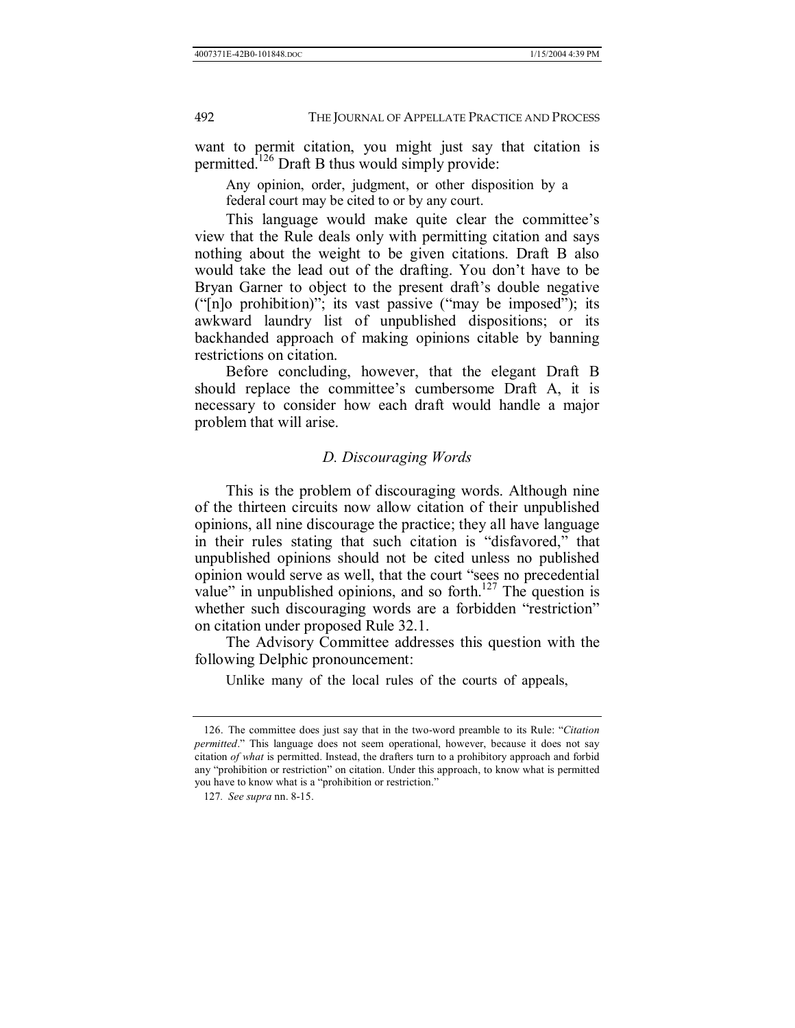want to permit citation, you might just say that citation is permitted.<sup>126</sup> Draft B thus would simply provide:

Any opinion, order, judgment, or other disposition by a federal court may be cited to or by any court.

This language would make quite clear the committee's view that the Rule deals only with permitting citation and says nothing about the weight to be given citations. Draft B also would take the lead out of the drafting. You don't have to be Bryan Garner to object to the present draft's double negative ( $\lceil n \rceil$ ]o prohibition)"; its vast passive ( $\lceil n \rceil$ ) its imposed"); its awkward laundry list of unpublished dispositions; or its backhanded approach of making opinions citable by banning restrictions on citation.

Before concluding, however, that the elegant Draft B should replace the committee's cumbersome Draft A, it is necessary to consider how each draft would handle a major problem that will arise.

#### *D. Discouraging Words*

This is the problem of discouraging words. Although nine of the thirteen circuits now allow citation of their unpublished opinions, all nine discourage the practice; they all have language in their rules stating that such citation is "disfavored," that unpublished opinions should not be cited unless no published opinion would serve as well, that the court "sees no precedential value" in unpublished opinions, and so forth.<sup>127</sup> The question is whether such discouraging words are a forbidden "restriction" on citation under proposed Rule 32.1.

The Advisory Committee addresses this question with the following Delphic pronouncement:

Unlike many of the local rules of the courts of appeals,

<sup>126.</sup> The committee does just say that in the two-word preamble to its Rule: *"Citation permitted*." This language does not seem operational, however, because it does not say citation *of what* is permitted. Instead, the drafters turn to a prohibitory approach and forbid any "prohibition or restriction" on citation. Under this approach, to know what is permitted you have to know what is a "prohibition or restriction."

<sup>127</sup>*. See supra* nn. 8-15.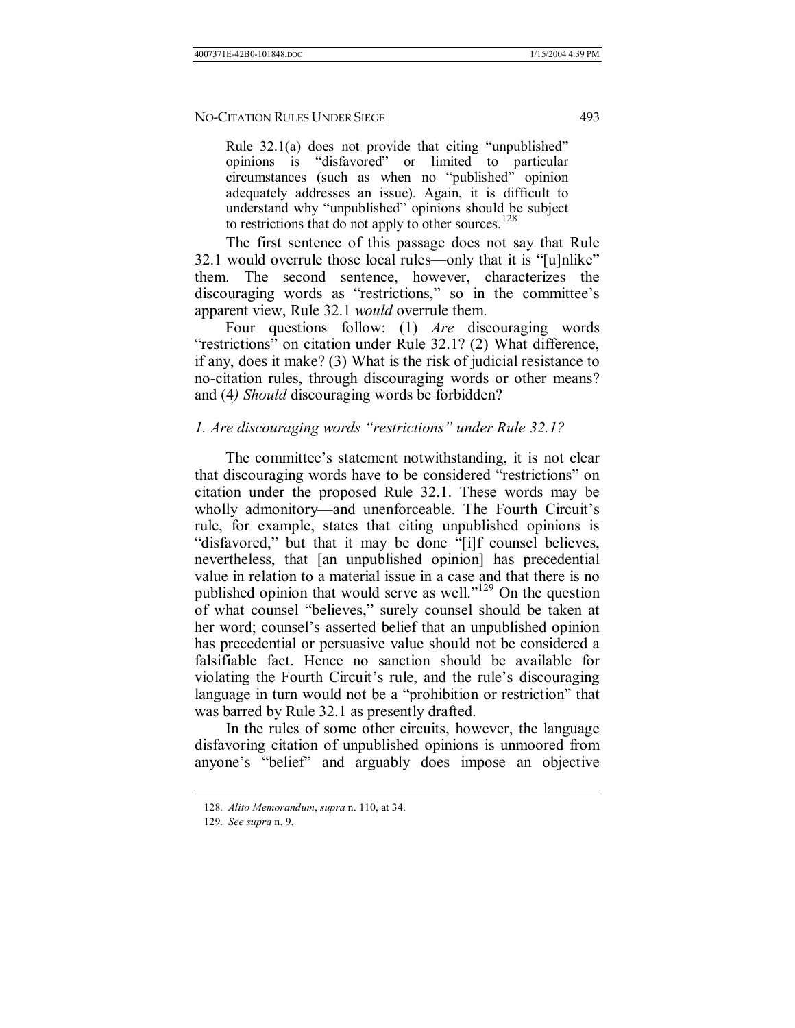Rule  $32.1(a)$  does not provide that citing "unpublished" opinions is "disfavored" or limited to particular circumstances (such as when no "published" opinion adequately addresses an issue). Again, it is difficult to understand why "unpublished" opinions should be subject to restrictions that do not apply to other sources.<sup>128</sup>

The first sentence of this passage does not say that Rule 32.1 would overrule those local rules—only that it is "[u]nlike" them. The second sentence, however, characterizes the discouraging words as "restrictions," so in the committee's apparent view, Rule 32.1 *would* overrule them.

Four questions follow: (1) *Are* discouraging words "restrictions" on citation under Rule 32.1? (2) What difference, if any, does it make? (3) What is the risk of judicial resistance to no-citation rules, through discouraging words or other means? and (4*) Should* discouraging words be forbidden?

## *1. Are discouraging words "restrictions" under Rule 32.1?*

The committee's statement notwithstanding, it is not clear that discouraging words have to be considered "restrictions" on citation under the proposed Rule 32.1. These words may be wholly admonitory—and unenforceable. The Fourth Circuit's rule, for example, states that citing unpublished opinions is "disfavored," but that it may be done "[i]f counsel believes, nevertheless, that [an unpublished opinion] has precedential value in relation to a material issue in a case and that there is no published opinion that would serve as well.<sup> $129$ </sup> On the question of what counsel "believes," surely counsel should be taken at her word; counsel's asserted belief that an unpublished opinion has precedential or persuasive value should not be considered a falsifiable fact. Hence no sanction should be available for violating the Fourth Circuit's rule, and the rule's discouraging language in turn would not be a "prohibition or restriction" that was barred by Rule 32.1 as presently drafted.

In the rules of some other circuits, however, the language disfavoring citation of unpublished opinions is unmoored from anyone's "belief" and arguably does impose an objective

<sup>128</sup>*. Alito Memorandum*, *supra* n. 110, at 34.

<sup>129</sup>*. See supra* n. 9.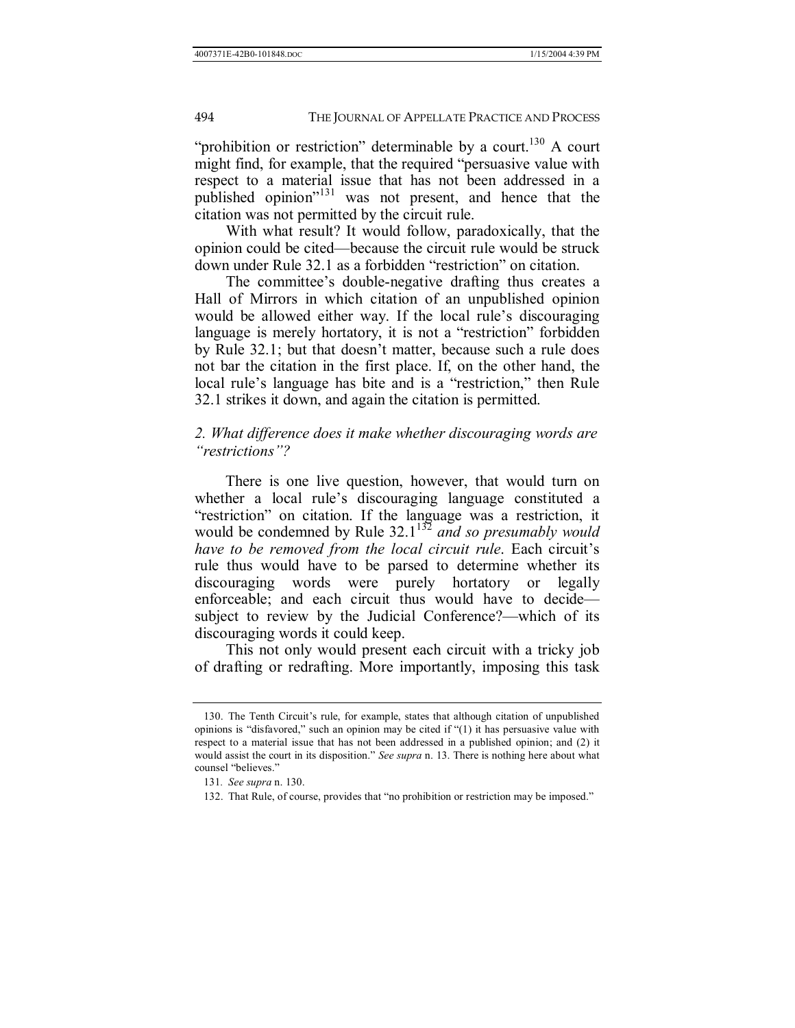"prohibition or restriction" determinable by a court.<sup>130</sup> A court might find, for example, that the required "persuasive value with respect to a material issue that has not been addressed in a published opinion<sup>"131</sup> was not present, and hence that the citation was not permitted by the circuit rule.

With what result? It would follow, paradoxically, that the opinion could be cited—because the circuit rule would be struck down under Rule 32.1 as a forbidden "restriction" on citation.

The committee's double-negative drafting thus creates a Hall of Mirrors in which citation of an unpublished opinion would be allowed either way. If the local rule's discouraging language is merely hortatory, it is not a "restriction" forbidden by Rule 32.1; but that doesn't matter, because such a rule does not bar the citation in the first place. If, on the other hand, the local rule's language has bite and is a "restriction," then Rule 32.1 strikes it down, and again the citation is permitted.

## *2. What difference does it make whether discouraging words are <sup><i>''restrictions*"?</sup>

There is one live question, however, that would turn on whether a local rule's discouraging language constituted a "restriction" on citation. If the language was a restriction, it would be condemned by Rule 32.1<sup>132</sup> and so presumably would *have to be removed from the local circuit rule*. Each circuit's rule thus would have to be parsed to determine whether its discouraging words were purely hortatory or legally enforceable; and each circuit thus would have to decide $\qquad$ subject to review by the Judicial Conference?—which of its discouraging words it could keep.

This not only would present each circuit with a tricky job of drafting or redrafting. More importantly, imposing this task

<sup>130.</sup> The Tenth Circuit's rule, for example, states that although citation of unpublished opinions is "disfavored," such an opinion may be cited if " $(1)$  it has persuasive value with respect to a material issue that has not been addressed in a published opinion; and (2) it would assist the court in its disposition." See supra n. 13. There is nothing here about what counsel "believes."

<sup>131</sup>*. See supra* n. 130.

<sup>132.</sup> That Rule, of course, provides that "no prohibition or restriction may be imposed."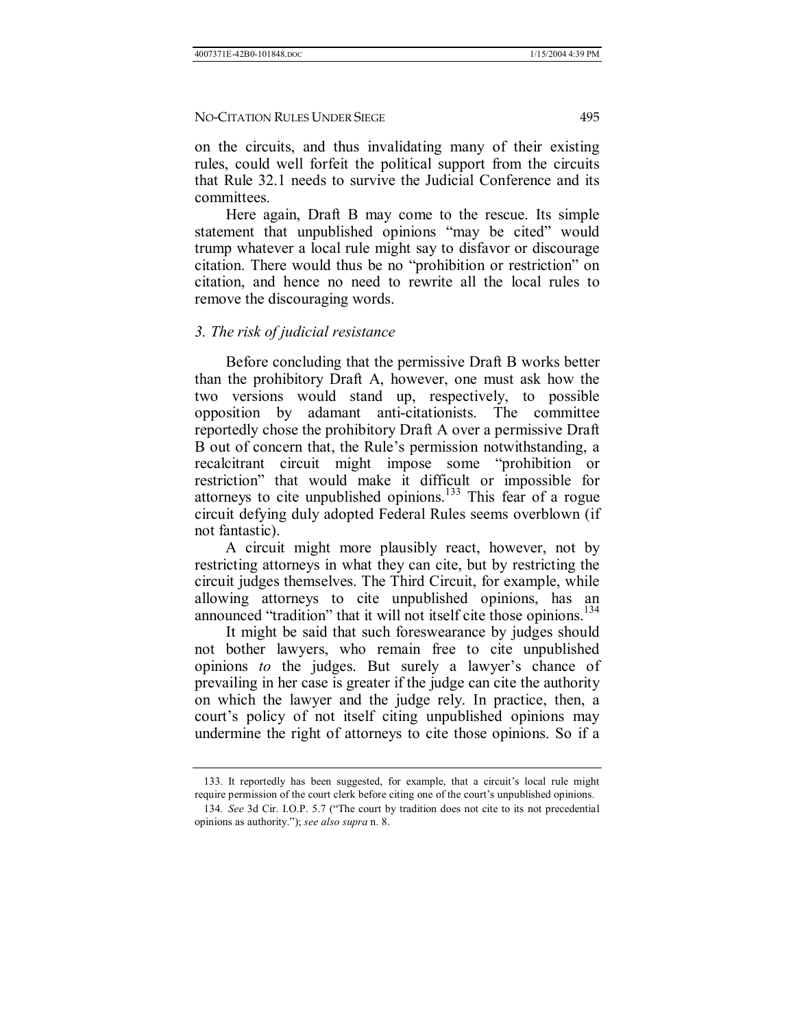on the circuits, and thus invalidating many of their existing rules, could well forfeit the political support from the circuits that Rule 32.1 needs to survive the Judicial Conference and its committees.

Here again, Draft B may come to the rescue. Its simple statement that unpublished opinions "may be cited" would trump whatever a local rule might say to disfavor or discourage citation. There would thus be no "prohibition or restriction" on citation, and hence no need to rewrite all the local rules to remove the discouraging words.

#### *3. The risk of judicial resistance*

Before concluding that the permissive Draft B works better than the prohibitory Draft A, however, one must ask how the two versions would stand up, respectively, to possible opposition by adamant anti-citationists. The committee reportedly chose the prohibitory Draft A over a permissive Draft B out of concern that, the Rule's permission notwithstanding, a recalcitrant circuit might impose some "prohibition or restrictionî that would make it difficult or impossible for attorneys to cite unpublished opinions.<sup>133</sup> This fear of a rogue circuit defying duly adopted Federal Rules seems overblown (if not fantastic).

A circuit might more plausibly react, however, not by restricting attorneys in what they can cite, but by restricting the circuit judges themselves. The Third Circuit, for example, while allowing attorneys to cite unpublished opinions, has an announced "tradition" that it will not itself cite those opinions.<sup>134</sup>

It might be said that such foreswearance by judges should not bother lawyers, who remain free to cite unpublished opinions *to* the judges. But surely a lawyer's chance of prevailing in her case is greater if the judge can cite the authority on which the lawyer and the judge rely. In practice, then, a court's policy of not itself citing unpublished opinions may undermine the right of attorneys to cite those opinions. So if a

<sup>133.</sup> It reportedly has been suggested, for example, that a circuit's local rule might require permission of the court clerk before citing one of the court's unpublished opinions.

<sup>134</sup>*. See* 3d Cir. I.O.P. 5.7 ("The court by tradition does not cite to its not precedential opinions as authority.î); *see also supra* n. 8.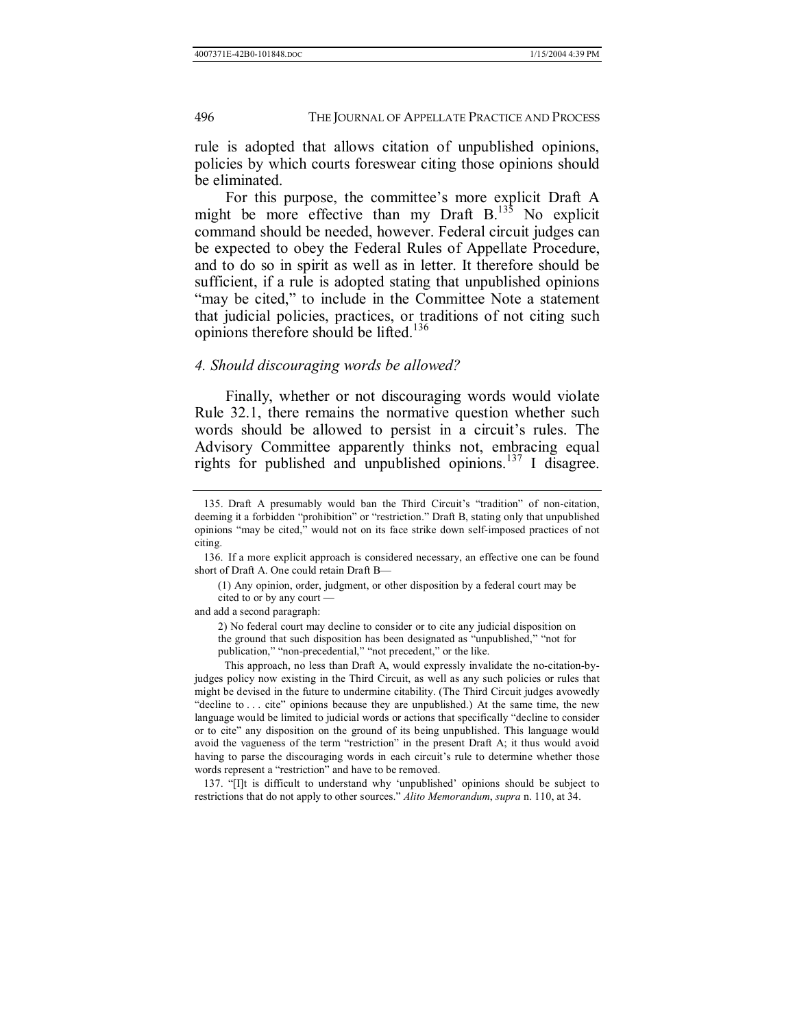rule is adopted that allows citation of unpublished opinions, policies by which courts foreswear citing those opinions should be eliminated.

For this purpose, the committee's more explicit Draft A might be more effective than my Draft  $B<sup>135</sup>$  No explicit command should be needed, however. Federal circuit judges can be expected to obey the Federal Rules of Appellate Procedure, and to do so in spirit as well as in letter. It therefore should be sufficient, if a rule is adopted stating that unpublished opinions ìmay be cited,î to include in the Committee Note a statement that judicial policies, practices, or traditions of not citing such opinions therefore should be lifted.<sup>136</sup>

#### *4. Should discouraging words be allowed?*

Finally, whether or not discouraging words would violate Rule 32.1, there remains the normative question whether such words should be allowed to persist in a circuit's rules. The Advisory Committee apparently thinks not, embracing equal rights for published and unpublished opinions. $137$  I disagree.

(1) Any opinion, order, judgment, or other disposition by a federal court may be cited to or by any court  $-$ 

and add a second paragraph:

2) No federal court may decline to consider or to cite any judicial disposition on the ground that such disposition has been designated as "unpublished," "not for publication," "non-precedential," "not precedent," or the like.

This approach, no less than Draft A, would expressly invalidate the no-citation-byjudges policy now existing in the Third Circuit, as well as any such policies or rules that might be devised in the future to undermine citability. (The Third Circuit judges avowedly  $"decline to ...$  cite" opinions because they are unpublished.) At the same time, the new language would be limited to judicial words or actions that specifically "decline to consider or to citeî any disposition on the ground of its being unpublished. This language would avoid the vagueness of the term "restriction" in the present Draft A; it thus would avoid having to parse the discouraging words in each circuit's rule to determine whether those words represent a "restriction" and have to be removed.

137. "[I]t is difficult to understand why 'unpublished' opinions should be subject to restrictions that do not apply to other sources." *Alito Memorandum*, *supra* n. 110, at 34.

<sup>135.</sup> Draft A presumably would ban the Third Circuit's "tradition" of non-citation, deeming it a forbidden "prohibition" or "restriction." Draft B, stating only that unpublished opinions "may be cited," would not on its face strike down self-imposed practices of not citing.

 <sup>136.</sup> If a more explicit approach is considered necessary, an effective one can be found short of Draft A. One could retain Draft B-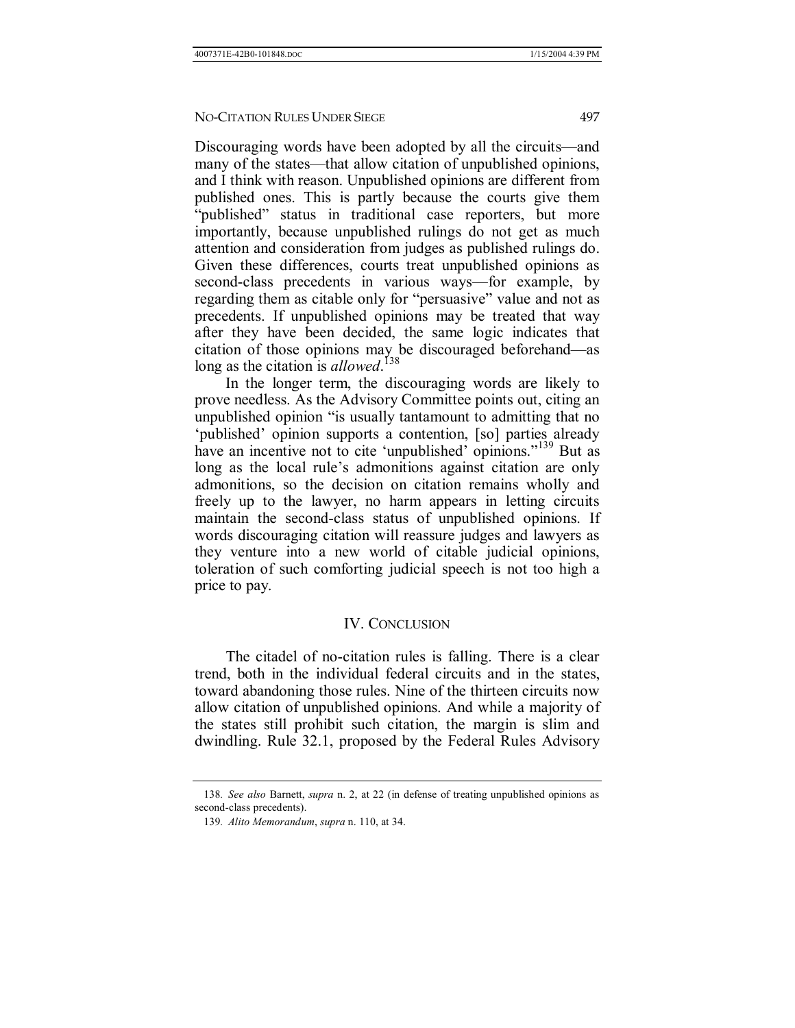Discouraging words have been adopted by all the circuits—and many of the states—that allow citation of unpublished opinions, and I think with reason. Unpublished opinions are different from published ones. This is partly because the courts give them "published" status in traditional case reporters, but more importantly, because unpublished rulings do not get as much attention and consideration from judges as published rulings do. Given these differences, courts treat unpublished opinions as second-class precedents in various ways—for example, by regarding them as citable only for "persuasive" value and not as precedents. If unpublished opinions may be treated that way after they have been decided, the same logic indicates that citation of those opinions may be discouraged beforehand—as long as the citation is *allowed*. 138

In the longer term, the discouraging words are likely to prove needless. As the Advisory Committee points out, citing an unpublished opinion "is usually tantamount to admitting that no 'published' opinion supports a contention, [so] parties already have an incentive not to cite 'unpublished' opinions.<sup>"139</sup> But as long as the local rule's admonitions against citation are only admonitions, so the decision on citation remains wholly and freely up to the lawyer, no harm appears in letting circuits maintain the second-class status of unpublished opinions. If words discouraging citation will reassure judges and lawyers as they venture into a new world of citable judicial opinions, toleration of such comforting judicial speech is not too high a price to pay.

#### IV. CONCLUSION

The citadel of no-citation rules is falling. There is a clear trend, both in the individual federal circuits and in the states, toward abandoning those rules. Nine of the thirteen circuits now allow citation of unpublished opinions. And while a majority of the states still prohibit such citation, the margin is slim and dwindling. Rule 32.1, proposed by the Federal Rules Advisory

<sup>138</sup>*. See also* Barnett, *supra* n. 2, at 22 (in defense of treating unpublished opinions as second-class precedents).

<sup>139</sup>*. Alito Memorandum*, *supra* n. 110, at 34.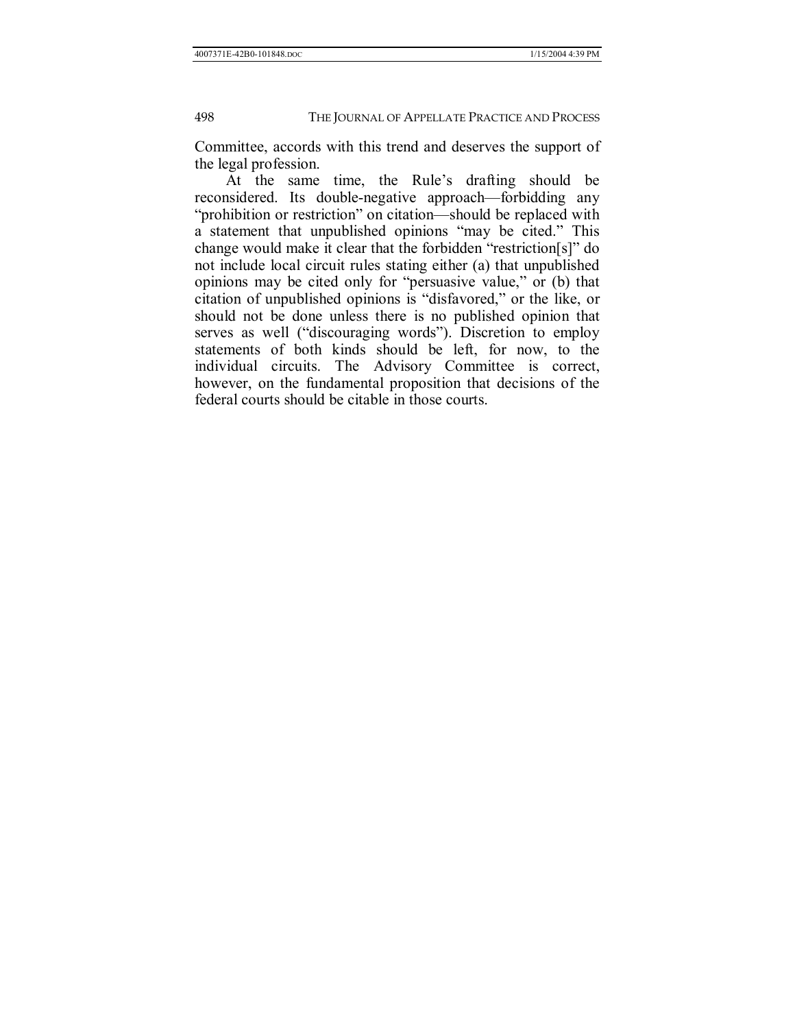Committee, accords with this trend and deserves the support of the legal profession.

At the same time, the Rule's drafting should be reconsidered. Its double-negative approach—forbidding any "prohibition or restriction" on citation—should be replaced with a statement that unpublished opinions "may be cited." This change would make it clear that the forbidden "restriction[s]" do not include local circuit rules stating either (a) that unpublished opinions may be cited only for "persuasive value," or (b) that citation of unpublished opinions is "disfavored," or the like, or should not be done unless there is no published opinion that serves as well ("discouraging words"). Discretion to employ statements of both kinds should be left, for now, to the individual circuits. The Advisory Committee is correct, however, on the fundamental proposition that decisions of the federal courts should be citable in those courts.